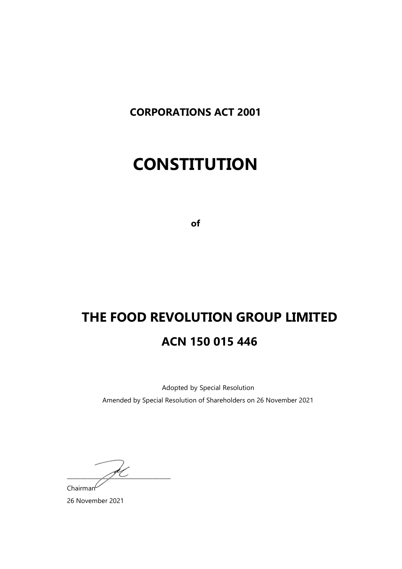**CORPORATIONS ACT 2001**

# **CONSTITUTION**

**of**

# **THE FOOD REVOLUTION GROUP LIMITED ACN 150 015 446**

Adopted by Special Resolution Amended by Special Resolution of Shareholders on 26 November 2021

 $\frac{1}{\sqrt{2}}$  $Chairman<sup>C</sup>$ 

26 November 2021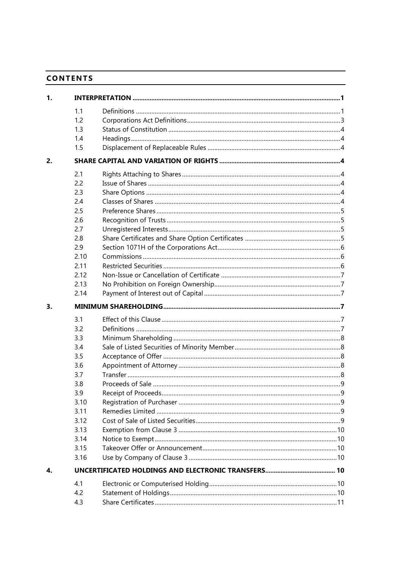# **CONTENTS**

| 1. |      |  |
|----|------|--|
|    | 1.1  |  |
|    | 1.2  |  |
|    | 1.3  |  |
|    | 1.4  |  |
|    | 1.5  |  |
| 2. |      |  |
|    | 2.1  |  |
|    | 2.2  |  |
|    | 2.3  |  |
|    | 2.4  |  |
|    | 2.5  |  |
|    | 2.6  |  |
|    | 2.7  |  |
|    | 2.8  |  |
|    | 2.9  |  |
|    | 2.10 |  |
|    | 2.11 |  |
|    | 2.12 |  |
|    | 2.13 |  |
|    | 2.14 |  |
| 3. |      |  |
|    |      |  |
|    | 3.1  |  |
|    |      |  |
|    | 3.2  |  |
|    | 3.3  |  |
|    | 3.4  |  |
|    | 3.5  |  |
|    | 3.6  |  |
|    | 3.7  |  |
|    | 3.8  |  |
|    | 3.9  |  |
|    | 3.10 |  |
|    | 3.11 |  |
|    | 3.12 |  |
|    | 3.13 |  |
|    | 3.14 |  |
|    | 3.15 |  |
|    | 3.16 |  |
| 4. |      |  |
|    | 4.1  |  |
|    | 4.2  |  |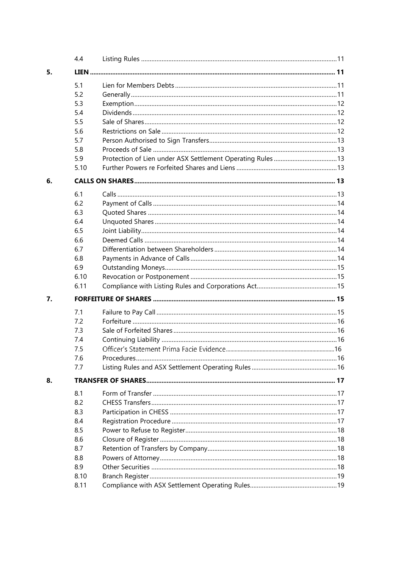|    | 4.4          |                         |  |
|----|--------------|-------------------------|--|
| 5. |              |                         |  |
|    | 5.1          |                         |  |
|    | 5.2          |                         |  |
|    | 5.3          |                         |  |
|    | 5.4          |                         |  |
|    | 5.5          |                         |  |
|    | 5.6          |                         |  |
|    | 5.7          |                         |  |
|    | 5.8          |                         |  |
|    | 5.9          |                         |  |
|    | 5.10         |                         |  |
| 6. |              |                         |  |
|    | 6.1          |                         |  |
|    | 6.2          |                         |  |
|    | 6.3          |                         |  |
|    | 6.4          |                         |  |
|    | 6.5          |                         |  |
|    | 6.6          |                         |  |
|    | 6.7          |                         |  |
|    | 6.8          |                         |  |
|    | 6.9          |                         |  |
|    | 6.10         |                         |  |
|    | 6.11         |                         |  |
| 7. |              |                         |  |
|    | 7.1          |                         |  |
|    | 7.2          |                         |  |
|    | 7.3          |                         |  |
|    | 7.4          |                         |  |
|    | 7.5          |                         |  |
|    | 76           | $\sim$ 16<br>Procedures |  |
|    | 7.7          |                         |  |
| 8. |              |                         |  |
|    | 8.1          |                         |  |
|    | 8.2          |                         |  |
|    | 8.3          |                         |  |
|    | 8.4          |                         |  |
|    | 8.5          |                         |  |
|    | 8.6          |                         |  |
|    | 8.7          |                         |  |
|    | 8.8          |                         |  |
|    | 8.9          |                         |  |
|    |              |                         |  |
|    | 8.10<br>8.11 |                         |  |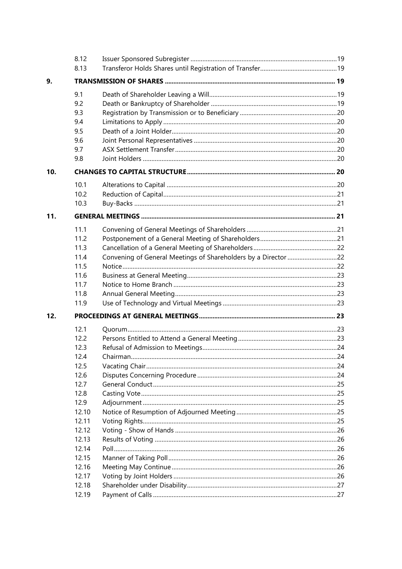|     | 8.12  |                                                                |  |
|-----|-------|----------------------------------------------------------------|--|
|     | 8.13  |                                                                |  |
| 9.  |       |                                                                |  |
|     | 9.1   |                                                                |  |
|     | 9.2   |                                                                |  |
|     | 9.3   |                                                                |  |
|     | 9.4   |                                                                |  |
|     | 9.5   |                                                                |  |
|     | 9.6   |                                                                |  |
|     | 9.7   |                                                                |  |
|     | 9.8   |                                                                |  |
| 10. |       |                                                                |  |
|     | 10.1  |                                                                |  |
|     | 10.2  |                                                                |  |
|     | 10.3  |                                                                |  |
| 11. |       |                                                                |  |
|     | 11.1  |                                                                |  |
|     | 11.2  |                                                                |  |
|     | 11.3  |                                                                |  |
|     | 11.4  | Convening of General Meetings of Shareholders by a Director 22 |  |
|     | 11.5  |                                                                |  |
|     | 11.6  |                                                                |  |
|     | 11.7  |                                                                |  |
|     | 11.8  |                                                                |  |
|     | 11.9  |                                                                |  |
| 12. |       |                                                                |  |
|     | 12.1  |                                                                |  |
|     | 12.2  |                                                                |  |
|     | 12.3  |                                                                |  |
|     | 12.4  |                                                                |  |
|     | 12.5  |                                                                |  |
|     | 12.6  |                                                                |  |
|     | 12.7  |                                                                |  |
|     | 12.8  |                                                                |  |
|     | 12.9  |                                                                |  |
|     | 12.10 |                                                                |  |
|     | 12.11 |                                                                |  |
|     | 12.12 |                                                                |  |
|     | 12.13 |                                                                |  |
|     | 12.14 |                                                                |  |
|     | 12.15 |                                                                |  |
|     | 12.16 |                                                                |  |
|     | 12.17 |                                                                |  |
|     | 12.18 |                                                                |  |
|     | 12.19 |                                                                |  |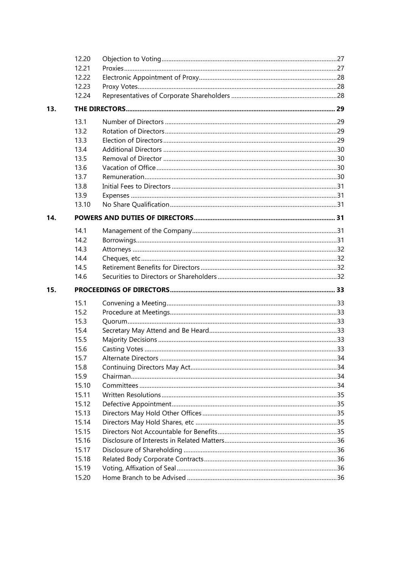|     | 12.20 |  |
|-----|-------|--|
|     | 12.21 |  |
|     | 12.22 |  |
|     | 12.23 |  |
|     | 12.24 |  |
| 13. |       |  |
|     | 13.1  |  |
|     | 13.2  |  |
|     | 13.3  |  |
|     | 13.4  |  |
|     | 13.5  |  |
|     | 13.6  |  |
|     | 13.7  |  |
|     | 13.8  |  |
|     | 13.9  |  |
|     | 13.10 |  |
| 14. |       |  |
|     | 14.1  |  |
|     | 14.2  |  |
|     | 14.3  |  |
|     | 14.4  |  |
|     | 14.5  |  |
|     | 14.6  |  |
| 15. |       |  |
|     | 15.1  |  |
|     | 15.2  |  |
|     | 15.3  |  |
|     | 15.4  |  |
|     | 15.5  |  |
|     | 15.6  |  |
|     | 15.7  |  |
|     | 15.8  |  |
|     | 15.9  |  |
|     | 15.10 |  |
|     | 15.11 |  |
|     | 15.12 |  |
|     | 15.13 |  |
|     | 15.14 |  |
|     | 15.15 |  |
|     | 15.16 |  |
|     | 15.17 |  |
|     | 15.18 |  |
|     | 15.19 |  |
|     | 15.20 |  |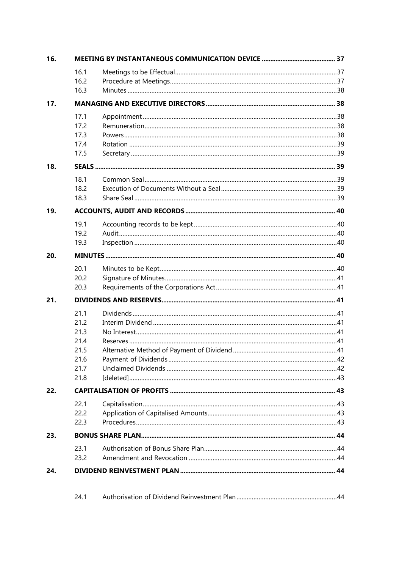| 16. |              |  |
|-----|--------------|--|
|     | 16.1         |  |
|     | 16.2         |  |
|     | 16.3         |  |
| 17. |              |  |
|     | 17.1         |  |
|     | 17.2<br>17.3 |  |
|     | 17.4         |  |
|     | 17.5         |  |
| 18. |              |  |
|     | 18.1         |  |
|     | 18.2         |  |
|     | 18.3         |  |
| 19. |              |  |
|     | 19.1         |  |
|     | 19.2         |  |
|     | 19.3         |  |
| 20. |              |  |
|     | 20.1         |  |
|     | 20.2         |  |
|     | 20.3         |  |
| 21. |              |  |
|     | 21.1         |  |
|     | 21.2         |  |
|     | 21.3         |  |
|     | 21.4         |  |
|     | 21.5         |  |
|     | 21.6<br>21.7 |  |
|     | 21.8         |  |
| 22. |              |  |
|     | 22.1         |  |
|     | 22.2         |  |
|     | 22.3         |  |
| 23. |              |  |
|     | 23.1         |  |
|     | 23.2         |  |
| 24. |              |  |
|     |              |  |
|     | 24.1         |  |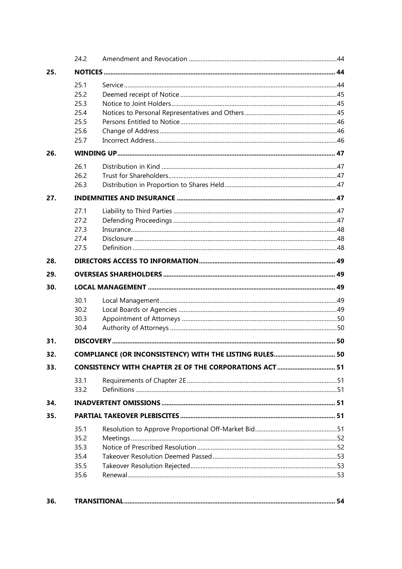|     | 24.2 |  |  |  |
|-----|------|--|--|--|
| 25. |      |  |  |  |
|     | 25.1 |  |  |  |
|     | 25.2 |  |  |  |
|     | 25.3 |  |  |  |
|     | 25.4 |  |  |  |
|     | 25.5 |  |  |  |
|     | 25.6 |  |  |  |
|     | 25.7 |  |  |  |
| 26. |      |  |  |  |
|     | 26.1 |  |  |  |
|     | 26.2 |  |  |  |
|     | 26.3 |  |  |  |
| 27. |      |  |  |  |
|     | 27.1 |  |  |  |
|     | 27.2 |  |  |  |
|     | 27.3 |  |  |  |
|     | 27.4 |  |  |  |
|     | 27.5 |  |  |  |
| 28. |      |  |  |  |
| 29. |      |  |  |  |
| 30. |      |  |  |  |
|     | 30.1 |  |  |  |
|     | 30.2 |  |  |  |
|     | 30.3 |  |  |  |
|     | 30.4 |  |  |  |
| 31. |      |  |  |  |
| 32. |      |  |  |  |
| 33. |      |  |  |  |
|     | 33.1 |  |  |  |
|     | 33.2 |  |  |  |
| 34. |      |  |  |  |
| 35. |      |  |  |  |
|     | 35.1 |  |  |  |
|     | 35.2 |  |  |  |
|     | 35.3 |  |  |  |
|     | 35.4 |  |  |  |
|     | 35.5 |  |  |  |
|     | 35.6 |  |  |  |
|     |      |  |  |  |

| 36. |  |  |
|-----|--|--|
|-----|--|--|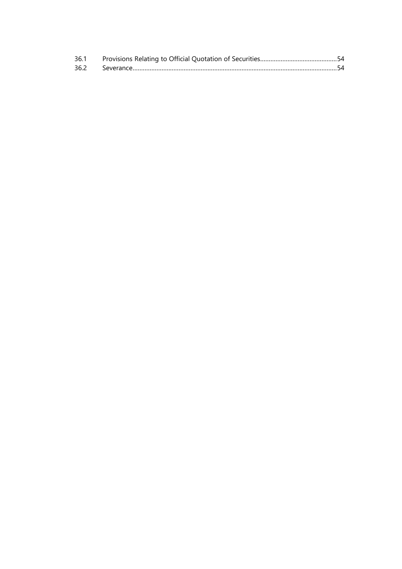| 36.1 |  |
|------|--|
|      |  |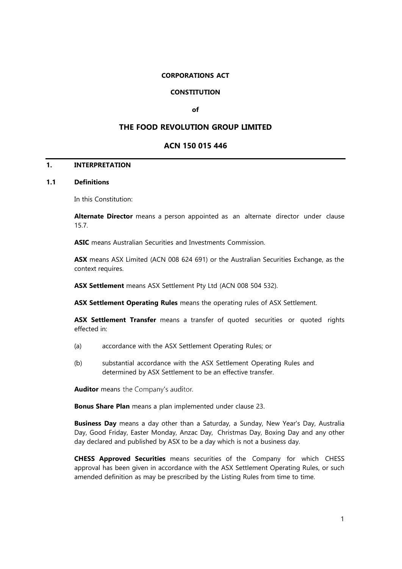## **CORPORATIONS ACT**

## **CONSTITUTION**

#### **of**

# **THE FOOD REVOLUTION GROUP LIMITED**

## **ACN 150 015 446**

## <span id="page-8-0"></span>**1. INTERPRETATION**

# <span id="page-8-1"></span>**1.1 Definitions**

In this Constitution:

**Alternate Director** means a person appointed as an alternate director under clause 15.7.

**ASIC** means Australian Securities and Investments Commission.

**ASX** means ASX Limited (ACN 008 624 691) or the Australian Securities Exchange, as the context requires.

**ASX Settlement** means ASX Settlement Pty Ltd (ACN 008 504 532).

**ASX Settlement Operating Rules** means the operating rules of ASX Settlement.

**ASX Settlement Transfer** means a transfer of quoted securities or quoted rights effected in:

- (a) accordance with the ASX Settlement Operating Rules; or
- (b) substantial accordance with the ASX Settlement Operating Rules and determined by ASX Settlement to be an effective transfer.

**Auditor** means the Company's auditor.

**Bonus Share Plan** means a plan implemented under clause 23.

**Business Day** means a day other than a Saturday, a Sunday, New Year's Day, Australia Day, Good Friday, Easter Monday, Anzac Day, Christmas Day, Boxing Day and any other day declared and published by ASX to be a day which is not a business day.

**CHESS Approved Securities** means securities of the Company for which CHESS approval has been given in accordance with the ASX Settlement Operating Rules, or such amended definition as may be prescribed by the Listing Rules from time to time.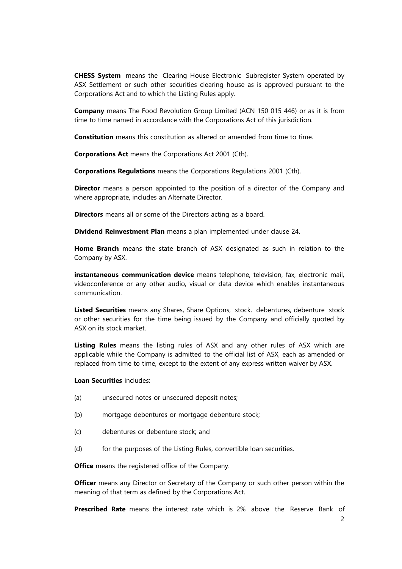**CHESS System** means the Clearing House Electronic Subregister System operated by ASX Settlement or such other securities clearing house as is approved pursuant to the Corporations Act and to which the Listing Rules apply.

**Company** means The Food Revolution Group Limited (ACN 150 015 446) or as it is from time to time named in accordance with the Corporations Act of this jurisdiction.

**Constitution** means this constitution as altered or amended from time to time.

**Corporations Act** means the Corporations Act 2001 (Cth).

**Corporations Regulations** means the Corporations Regulations 2001 (Cth).

**Director** means a person appointed to the position of a director of the Company and where appropriate, includes an Alternate Director.

**Directors** means all or some of the Directors acting as a board.

**Dividend Reinvestment Plan** means a plan implemented under clause 24.

**Home Branch** means the state branch of ASX designated as such in relation to the Company by ASX.

**instantaneous communication device** means telephone, television, fax, electronic mail, videoconference or any other audio, visual or data device which enables instantaneous communication.

Listed Securities means any Shares, Share Options, stock, debentures, debenture stock or other securities for the time being issued by the Company and officially quoted by ASX on its stock market.

**Listing Rules** means the listing rules of ASX and any other rules of ASX which are applicable while the Company is admitted to the official list of ASX, each as amended or replaced from time to time, except to the extent of any express written waiver by ASX.

## **Loan Securities** includes:

- (a) unsecured notes or unsecured deposit notes;
- (b) mortgage debentures or mortgage debenture stock;
- (c) debentures or debenture stock; and
- (d) for the purposes of the Listing Rules, convertible loan securities.

**Office** means the registered office of the Company.

**Officer** means any Director or Secretary of the Company or such other person within the meaning of that term as defined by the Corporations Act.

**Prescribed Rate** means the interest rate which is 2% above the Reserve Bank of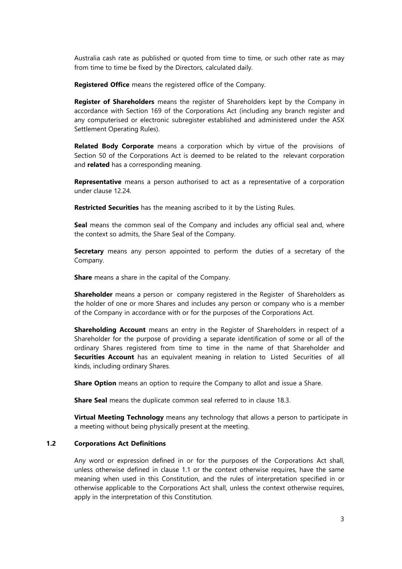Australia cash rate as published or quoted from time to time, or such other rate as may from time to time be fixed by the Directors, calculated daily.

**Registered Office** means the registered office of the Company.

**Register of Shareholders** means the register of Shareholders kept by the Company in accordance with Section 169 of the Corporations Act (including any branch register and any computerised or electronic subregister established and administered under the ASX Settlement Operating Rules).

**Related Body Corporate** means a corporation which by virtue of the provisions of Section 50 of the Corporations Act is deemed to be related to the relevant corporation and **related** has a corresponding meaning.

**Representative** means a person authorised to act as a representative of a corporation under clause 12.24.

**Restricted Securities** has the meaning ascribed to it by the Listing Rules.

**Seal** means the common seal of the Company and includes any official seal and, where the context so admits, the Share Seal of the Company.

**Secretary** means any person appointed to perform the duties of a secretary of the Company.

**Share** means a share in the capital of the Company.

**Shareholder** means a person or company registered in the Register of Shareholders as the holder of one or more Shares and includes any person or company who is a member of the Company in accordance with or for the purposes of the Corporations Act.

**Shareholding Account** means an entry in the Register of Shareholders in respect of a Shareholder for the purpose of providing a separate identification of some or all of the ordinary Shares registered from time to time in the name of that Shareholder and **Securities Account** has an equivalent meaning in relation to Listed Securities of all kinds, including ordinary Shares.

**Share Option** means an option to require the Company to allot and issue a Share.

**Share Seal** means the duplicate common seal referred to in clause 18.3.

**Virtual Meeting Technology** means any technology that allows a person to participate in a meeting without being physically present at the meeting.

#### <span id="page-10-0"></span>**1.2 Corporations Act Definitions**

Any word or expression defined in or for the purposes of the Corporations Act shall, unless otherwise defined in clause 1.1 or the context otherwise requires, have the same meaning when used in this Constitution, and the rules of interpretation specified in or otherwise applicable to the Corporations Act shall, unless the context otherwise requires, apply in the interpretation of this Constitution.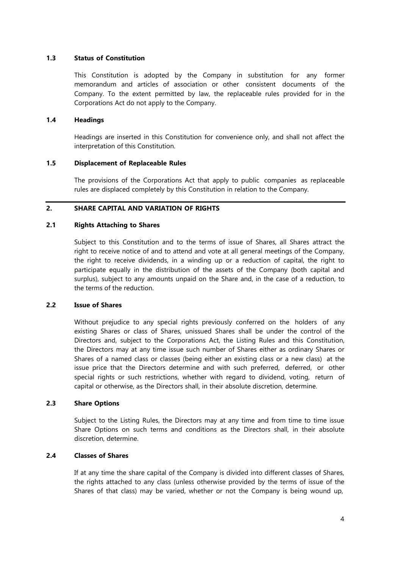## <span id="page-11-0"></span>**1.3 Status of Constitution**

This Constitution is adopted by the Company in substitution for any former memorandum and articles of association or other consistent documents of the Company. To the extent permitted by law, the replaceable rules provided for in the Corporations Act do not apply to the Company.

## <span id="page-11-1"></span>**1.4 Headings**

Headings are inserted in this Constitution for convenience only, and shall not affect the interpretation of this Constitution.

## <span id="page-11-2"></span>**1.5 Displacement of Replaceable Rules**

The provisions of the Corporations Act that apply to public companies as replaceable rules are displaced completely by this Constitution in relation to the Company.

# <span id="page-11-3"></span>**2. SHARE CAPITAL AND VARIATION OF RIGHTS**

## <span id="page-11-4"></span>**2.1 Rights Attaching to Shares**

Subject to this Constitution and to the terms of issue of Shares, all Shares attract the right to receive notice of and to attend and vote at all general meetings of the Company, the right to receive dividends, in a winding up or a reduction of capital, the right to participate equally in the distribution of the assets of the Company (both capital and surplus), subject to any amounts unpaid on the Share and, in the case of a reduction, to the terms of the reduction.

#### <span id="page-11-5"></span>**2.2 Issue of Shares**

Without prejudice to any special rights previously conferred on the holders of any existing Shares or class of Shares, unissued Shares shall be under the control of the Directors and, subject to the Corporations Act, the Listing Rules and this Constitution, the Directors may at any time issue such number of Shares either as ordinary Shares or Shares of a named class or classes (being either an existing class or a new class) at the issue price that the Directors determine and with such preferred, deferred, or other special rights or such restrictions, whether with regard to dividend, voting, return of capital or otherwise, as the Directors shall, in their absolute discretion, determine.

## <span id="page-11-6"></span>**2.3 Share Options**

Subject to the Listing Rules, the Directors may at any time and from time to time issue Share Options on such terms and conditions as the Directors shall, in their absolute discretion, determine.

# <span id="page-11-7"></span>**2.4 Classes of Shares**

If at any time the share capital of the Company is divided into different classes of Shares, the rights attached to any class (unless otherwise provided by the terms of issue of the Shares of that class) may be varied, whether or not the Company is being wound up,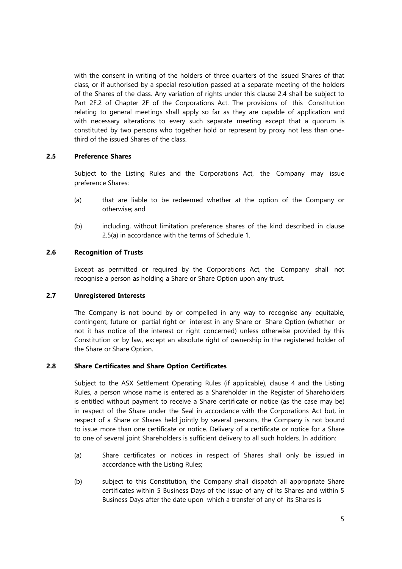with the consent in writing of the holders of three quarters of the issued Shares of that class, or if authorised by a special resolution passed at a separate meeting of the holders of the Shares of the class. Any variation of rights under this clause 2.4 shall be subject to Part 2F.2 of Chapter 2F of the Corporations Act. The provisions of this Constitution relating to general meetings shall apply so far as they are capable of application and with necessary alterations to every such separate meeting except that a quorum is constituted by two persons who together hold or represent by proxy not less than onethird of the issued Shares of the class.

## <span id="page-12-0"></span>**2.5 Preference Shares**

Subject to the Listing Rules and the Corporations Act, the Company may issue preference Shares:

- (a) that are liable to be redeemed whether at the option of the Company or otherwise; and
- (b) including, without limitation preference shares of the kind described in clause 2.5(a) in accordance with the terms of Schedule 1.

# <span id="page-12-1"></span>**2.6 Recognition of Trusts**

Except as permitted or required by the Corporations Act, the Company shall not recognise a person as holding a Share or Share Option upon any trust.

# <span id="page-12-2"></span>**2.7 Unregistered Interests**

The Company is not bound by or compelled in any way to recognise any equitable, contingent, future or partial right or interest in any Share or Share Option (whether or not it has notice of the interest or right concerned) unless otherwise provided by this Constitution or by law, except an absolute right of ownership in the registered holder of the Share or Share Option.

## <span id="page-12-3"></span>**2.8 Share Certificates and Share Option Certificates**

Subject to the ASX Settlement Operating Rules (if applicable), clause 4 and the Listing Rules, a person whose name is entered as a Shareholder in the Register of Shareholders is entitled without payment to receive a Share certificate or notice (as the case may be) in respect of the Share under the Seal in accordance with the Corporations Act but, in respect of a Share or Shares held jointly by several persons, the Company is not bound to issue more than one certificate or notice. Delivery of a certificate or notice for a Share to one of several joint Shareholders is sufficient delivery to all such holders. In addition:

- (a) Share certificates or notices in respect of Shares shall only be issued in accordance with the Listing Rules;
- (b) subject to this Constitution, the Company shall dispatch all appropriate Share certificates within 5 Business Days of the issue of any of its Shares and within 5 Business Days after the date upon which a transfer of any of its Shares is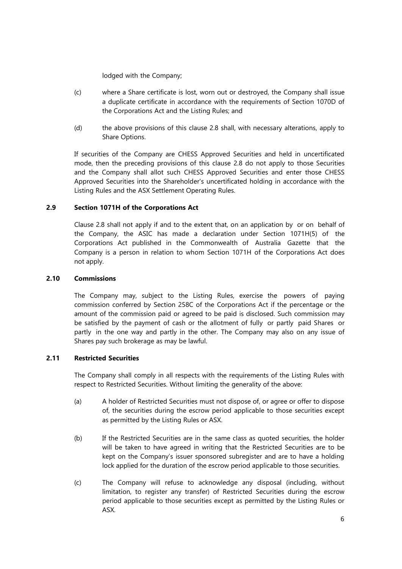lodged with the Company;

- (c) where a Share certificate is lost, worn out or destroyed, the Company shall issue a duplicate certificate in accordance with the requirements of Section 1070D of the Corporations Act and the Listing Rules; and
- (d) the above provisions of this clause 2.8 shall, with necessary alterations, apply to Share Options.

If securities of the Company are CHESS Approved Securities and held in uncertificated mode, then the preceding provisions of this clause 2.8 do not apply to those Securities and the Company shall allot such CHESS Approved Securities and enter those CHESS Approved Securities into the Shareholder's uncertificated holding in accordance with the Listing Rules and the ASX Settlement Operating Rules.

## <span id="page-13-0"></span>**2.9 Section 1071H of the Corporations Act**

Clause 2.8 shall not apply if and to the extent that, on an application by or on behalf of the Company, the ASIC has made a declaration under Section 1071H(5) of the Corporations Act published in the Commonwealth of Australia Gazette that the Company is a person in relation to whom Section 1071H of the Corporations Act does not apply.

## <span id="page-13-1"></span>**2.10 Commissions**

The Company may, subject to the Listing Rules, exercise the powers of paying commission conferred by Section 258C of the Corporations Act if the percentage or the amount of the commission paid or agreed to be paid is disclosed. Such commission may be satisfied by the payment of cash or the allotment of fully or partly paid Shares or partly in the one way and partly in the other. The Company may also on any issue of Shares pay such brokerage as may be lawful.

## <span id="page-13-2"></span>**2.11 Restricted Securities**

The Company shall comply in all respects with the requirements of the Listing Rules with respect to Restricted Securities. Without limiting the generality of the above:

- (a) A holder of Restricted Securities must not dispose of, or agree or offer to dispose of, the securities during the escrow period applicable to those securities except as permitted by the Listing Rules or ASX.
- (b) If the Restricted Securities are in the same class as quoted securities, the holder will be taken to have agreed in writing that the Restricted Securities are to be kept on the Company's issuer sponsored subregister and are to have a holding lock applied for the duration of the escrow period applicable to those securities.
- (c) The Company will refuse to acknowledge any disposal (including, without limitation, to register any transfer) of Restricted Securities during the escrow period applicable to those securities except as permitted by the Listing Rules or ASX.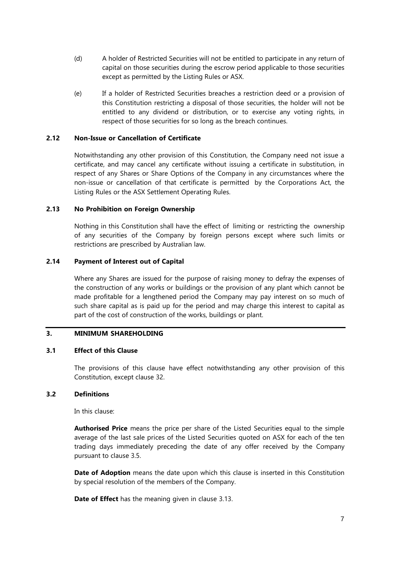- (d) A holder of Restricted Securities will not be entitled to participate in any return of capital on those securities during the escrow period applicable to those securities except as permitted by the Listing Rules or ASX.
- (e) If a holder of Restricted Securities breaches a restriction deed or a provision of this Constitution restricting a disposal of those securities, the holder will not be entitled to any dividend or distribution, or to exercise any voting rights, in respect of those securities for so long as the breach continues.

#### <span id="page-14-0"></span>**2.12 Non-Issue or Cancellation of Certificate**

Notwithstanding any other provision of this Constitution, the Company need not issue a certificate, and may cancel any certificate without issuing a certificate in substitution, in respect of any Shares or Share Options of the Company in any circumstances where the non-issue or cancellation of that certificate is permitted by the Corporations Act, the Listing Rules or the ASX Settlement Operating Rules.

## <span id="page-14-1"></span>**2.13 No Prohibition on Foreign Ownership**

Nothing in this Constitution shall have the effect of limiting or restricting the ownership of any securities of the Company by foreign persons except where such limits or restrictions are prescribed by Australian law.

## <span id="page-14-2"></span>**2.14 Payment of Interest out of Capital**

Where any Shares are issued for the purpose of raising money to defray the expenses of the construction of any works or buildings or the provision of any plant which cannot be made profitable for a lengthened period the Company may pay interest on so much of such share capital as is paid up for the period and may charge this interest to capital as part of the cost of construction of the works, buildings or plant.

# <span id="page-14-3"></span>**3. MINIMUM SHAREHOLDING**

#### <span id="page-14-4"></span>**3.1 Effect of this Clause**

The provisions of this clause have effect notwithstanding any other provision of this Constitution, except clause 32.

## <span id="page-14-5"></span>**3.2 Definitions**

In this clause:

**Authorised Price** means the price per share of the Listed Securities equal to the simple average of the last sale prices of the Listed Securities quoted on ASX for each of the ten trading days immediately preceding the date of any offer received by the Company pursuant to clause 3.5.

**Date of Adoption** means the date upon which this clause is inserted in this Constitution by special resolution of the members of the Company.

**Date of Effect** has the meaning given in clause 3.13.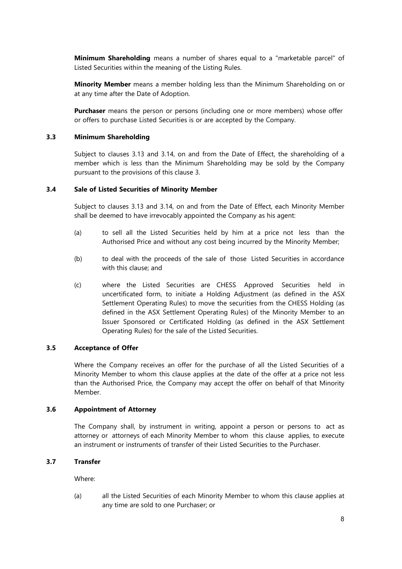**Minimum Shareholding** means a number of shares equal to a "marketable parcel" of Listed Securities within the meaning of the Listing Rules.

**Minority Member** means a member holding less than the Minimum Shareholding on or at any time after the Date of Adoption.

**Purchaser** means the person or persons (including one or more members) whose offer or offers to purchase Listed Securities is or are accepted by the Company.

#### <span id="page-15-0"></span>**3.3 Minimum Shareholding**

Subject to clauses 3.13 and 3.14, on and from the Date of Effect, the shareholding of a member which is less than the Minimum Shareholding may be sold by the Company pursuant to the provisions of this clause 3.

#### <span id="page-15-1"></span>**3.4 Sale of Listed Securities of Minority Member**

Subject to clauses 3.13 and 3.14, on and from the Date of Effect, each Minority Member shall be deemed to have irrevocably appointed the Company as his agent:

- (a) to sell all the Listed Securities held by him at a price not less than the Authorised Price and without any cost being incurred by the Minority Member;
- (b) to deal with the proceeds of the sale of those Listed Securities in accordance with this clause; and
- (c) where the Listed Securities are CHESS Approved Securities held in uncertificated form, to initiate a Holding Adjustment (as defined in the ASX Settlement Operating Rules) to move the securities from the CHESS Holding (as defined in the ASX Settlement Operating Rules) of the Minority Member to an Issuer Sponsored or Certificated Holding (as defined in the ASX Settlement Operating Rules) for the sale of the Listed Securities.

#### <span id="page-15-2"></span>**3.5 Acceptance of Offer**

Where the Company receives an offer for the purchase of all the Listed Securities of a Minority Member to whom this clause applies at the date of the offer at a price not less than the Authorised Price, the Company may accept the offer on behalf of that Minority Member.

#### <span id="page-15-3"></span>**3.6 Appointment of Attorney**

The Company shall, by instrument in writing, appoint a person or persons to act as attorney or attorneys of each Minority Member to whom this clause applies, to execute an instrument or instruments of transfer of their Listed Securities to the Purchaser.

## <span id="page-15-4"></span>**3.7 Transfer**

Where:

(a) all the Listed Securities of each Minority Member to whom this clause applies at any time are sold to one Purchaser; or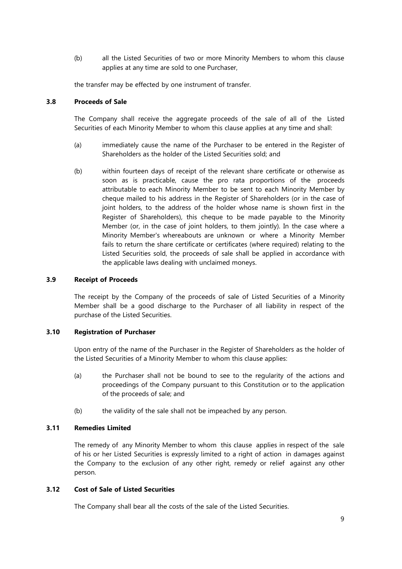(b) all the Listed Securities of two or more Minority Members to whom this clause applies at any time are sold to one Purchaser,

the transfer may be effected by one instrument of transfer.

## <span id="page-16-0"></span>**3.8 Proceeds of Sale**

The Company shall receive the aggregate proceeds of the sale of all of the Listed Securities of each Minority Member to whom this clause applies at any time and shall:

- (a) immediately cause the name of the Purchaser to be entered in the Register of Shareholders as the holder of the Listed Securities sold; and
- (b) within fourteen days of receipt of the relevant share certificate or otherwise as soon as is practicable, cause the pro rata proportions of the proceeds attributable to each Minority Member to be sent to each Minority Member by cheque mailed to his address in the Register of Shareholders (or in the case of joint holders, to the address of the holder whose name is shown first in the Register of Shareholders), this cheque to be made payable to the Minority Member (or, in the case of joint holders, to them jointly). In the case where a Minority Member's whereabouts are unknown or where a Minority Member fails to return the share certificate or certificates (where required) relating to the Listed Securities sold, the proceeds of sale shall be applied in accordance with the applicable laws dealing with unclaimed moneys.

## <span id="page-16-1"></span>**3.9 Receipt of Proceeds**

The receipt by the Company of the proceeds of sale of Listed Securities of a Minority Member shall be a good discharge to the Purchaser of all liability in respect of the purchase of the Listed Securities.

#### <span id="page-16-2"></span>**3.10 Registration of Purchaser**

Upon entry of the name of the Purchaser in the Register of Shareholders as the holder of the Listed Securities of a Minority Member to whom this clause applies:

- (a) the Purchaser shall not be bound to see to the regularity of the actions and proceedings of the Company pursuant to this Constitution or to the application of the proceeds of sale; and
- (b) the validity of the sale shall not be impeached by any person.

## <span id="page-16-3"></span>**3.11 Remedies Limited**

The remedy of any Minority Member to whom this clause applies in respect of the sale of his or her Listed Securities is expressly limited to a right of action in damages against the Company to the exclusion of any other right, remedy or relief against any other person.

#### <span id="page-16-4"></span>**3.12 Cost of Sale of Listed Securities**

The Company shall bear all the costs of the sale of the Listed Securities.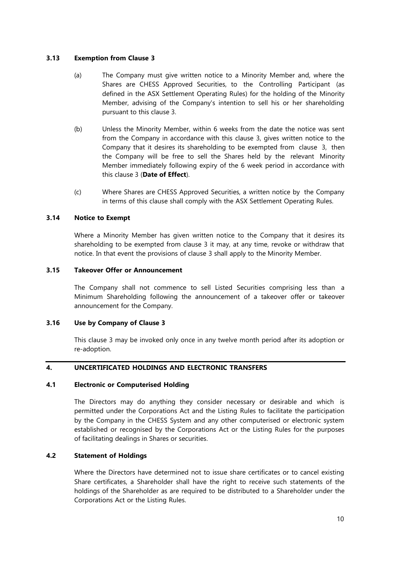## <span id="page-17-0"></span>**3.13 Exemption from Clause 3**

- (a) The Company must give written notice to a Minority Member and, where the Shares are CHESS Approved Securities, to the Controlling Participant (as defined in the ASX Settlement Operating Rules) for the holding of the Minority Member, advising of the Company's intention to sell his or her shareholding pursuant to this clause 3.
- (b) Unless the Minority Member, within 6 weeks from the date the notice was sent from the Company in accordance with this clause 3, gives written notice to the Company that it desires its shareholding to be exempted from clause 3, then the Company will be free to sell the Shares held by the relevant Minority Member immediately following expiry of the 6 week period in accordance with this clause 3 (**Date of Effect**).
- (c) Where Shares are CHESS Approved Securities, a written notice by the Company in terms of this clause shall comply with the ASX Settlement Operating Rules.

## <span id="page-17-1"></span>**3.14 Notice to Exempt**

Where a Minority Member has given written notice to the Company that it desires its shareholding to be exempted from clause 3 it may, at any time, revoke or withdraw that notice. In that event the provisions of clause 3 shall apply to the Minority Member.

## <span id="page-17-2"></span>**3.15 Takeover Offer or Announcement**

The Company shall not commence to sell Listed Securities comprising less than a Minimum Shareholding following the announcement of a takeover offer or takeover announcement for the Company.

### <span id="page-17-3"></span>**3.16 Use by Company of Clause 3**

This clause 3 may be invoked only once in any twelve month period after its adoption or re-adoption.

## <span id="page-17-4"></span>**4. UNCERTIFICATED HOLDINGS AND ELECTRONIC TRANSFERS**

#### <span id="page-17-5"></span>**4.1 Electronic or Computerised Holding**

The Directors may do anything they consider necessary or desirable and which is permitted under the Corporations Act and the Listing Rules to facilitate the participation by the Company in the CHESS System and any other computerised or electronic system established or recognised by the Corporations Act or the Listing Rules for the purposes of facilitating dealings in Shares or securities.

## <span id="page-17-6"></span>**4.2 Statement of Holdings**

Where the Directors have determined not to issue share certificates or to cancel existing Share certificates, a Shareholder shall have the right to receive such statements of the holdings of the Shareholder as are required to be distributed to a Shareholder under the Corporations Act or the Listing Rules.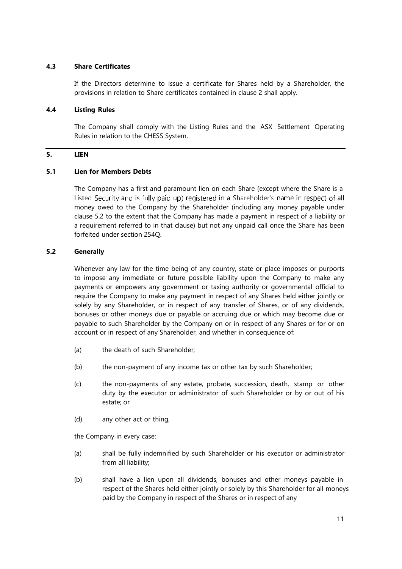## <span id="page-18-0"></span>**4.3 Share Certificates**

If the Directors determine to issue a certificate for Shares held by a Shareholder, the provisions in relation to Share certificates contained in clause 2 shall apply.

#### <span id="page-18-1"></span>**4.4 Listing Rules**

The Company shall comply with the Listing Rules and the ASX Settlement Operating Rules in relation to the CHESS System.

# <span id="page-18-2"></span>**5. LIEN**

## <span id="page-18-3"></span>**5.1 Lien for Members Debts**

The Company has a first and paramount lien on each Share (except where the Share is a Listed Security and is fully paid up) registered in a Shareholder's name in respect of all money owed to the Company by the Shareholder (including any money payable under clause 5.2 to the extent that the Company has made a payment in respect of a liability or a requirement referred to in that clause) but not any unpaid call once the Share has been forfeited under section 254Q.

# <span id="page-18-4"></span>**5.2 Generally**

Whenever any law for the time being of any country, state or place imposes or purports to impose any immediate or future possible liability upon the Company to make any payments or empowers any government or taxing authority or governmental official to require the Company to make any payment in respect of any Shares held either jointly or solely by any Shareholder, or in respect of any transfer of Shares, or of any dividends, bonuses or other moneys due or payable or accruing due or which may become due or payable to such Shareholder by the Company on or in respect of any Shares or for or on account or in respect of any Shareholder, and whether in consequence of:

- (a) the death of such Shareholder;
- (b) the non-payment of any income tax or other tax by such Shareholder;
- (c) the non-payments of any estate, probate, succession, death, stamp or other duty by the executor or administrator of such Shareholder or by or out of his estate; or
- (d) any other act or thing,

the Company in every case:

- (a) shall be fully indemnified by such Shareholder or his executor or administrator from all liability;
- (b) shall have a lien upon all dividends, bonuses and other moneys payable in respect of the Shares held either jointly or solely by this Shareholder for all moneys paid by the Company in respect of the Shares or in respect of any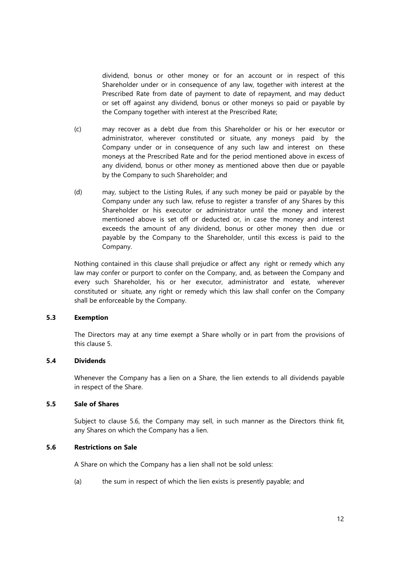dividend, bonus or other money or for an account or in respect of this Shareholder under or in consequence of any law, together with interest at the Prescribed Rate from date of payment to date of repayment, and may deduct or set off against any dividend, bonus or other moneys so paid or payable by the Company together with interest at the Prescribed Rate;

- (c) may recover as a debt due from this Shareholder or his or her executor or administrator, wherever constituted or situate, any moneys paid by the Company under or in consequence of any such law and interest on these moneys at the Prescribed Rate and for the period mentioned above in excess of any dividend, bonus or other money as mentioned above then due or payable by the Company to such Shareholder; and
- (d) may, subject to the Listing Rules, if any such money be paid or payable by the Company under any such law, refuse to register a transfer of any Shares by this Shareholder or his executor or administrator until the money and interest mentioned above is set off or deducted or, in case the money and interest exceeds the amount of any dividend, bonus or other money then due or payable by the Company to the Shareholder, until this excess is paid to the Company.

Nothing contained in this clause shall prejudice or affect any right or remedy which any law may confer or purport to confer on the Company, and, as between the Company and every such Shareholder, his or her executor, administrator and estate, wherever constituted or situate, any right or remedy which this law shall confer on the Company shall be enforceable by the Company.

## <span id="page-19-0"></span>**5.3 Exemption**

The Directors may at any time exempt a Share wholly or in part from the provisions of this clause 5.

## <span id="page-19-1"></span>**5.4 Dividends**

Whenever the Company has a lien on a Share, the lien extends to all dividends payable in respect of the Share.

## <span id="page-19-2"></span>**5.5 Sale of Shares**

Subject to clause 5.6, the Company may sell, in such manner as the Directors think fit, any Shares on which the Company has a lien.

## <span id="page-19-3"></span>**5.6 Restrictions on Sale**

A Share on which the Company has a lien shall not be sold unless:

(a) the sum in respect of which the lien exists is presently payable; and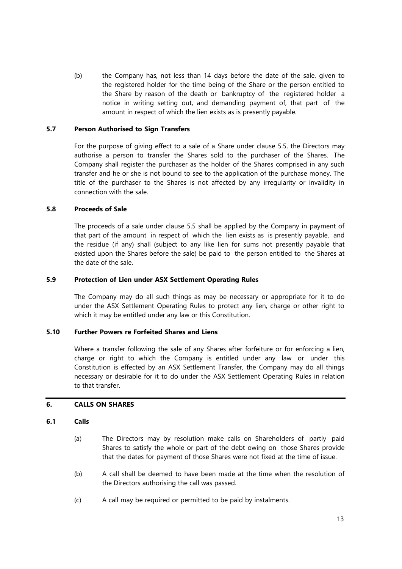(b) the Company has, not less than 14 days before the date of the sale, given to the registered holder for the time being of the Share or the person entitled to the Share by reason of the death or bankruptcy of the registered holder a notice in writing setting out, and demanding payment of, that part of the amount in respect of which the lien exists as is presently payable.

## <span id="page-20-0"></span>**5.7 Person Authorised to Sign Transfers**

For the purpose of giving effect to a sale of a Share under clause 5.5, the Directors may authorise a person to transfer the Shares sold to the purchaser of the Shares. The Company shall register the purchaser as the holder of the Shares comprised in any such transfer and he or she is not bound to see to the application of the purchase money. The title of the purchaser to the Shares is not affected by any irregularity or invalidity in connection with the sale.

## <span id="page-20-1"></span>**5.8 Proceeds of Sale**

The proceeds of a sale under clause 5.5 shall be applied by the Company in payment of that part of the amount in respect of which the lien exists as is presently payable, and the residue (if any) shall (subject to any like lien for sums not presently payable that existed upon the Shares before the sale) be paid to the person entitled to the Shares at the date of the sale.

## <span id="page-20-2"></span>**5.9 Protection of Lien under ASX Settlement Operating Rules**

The Company may do all such things as may be necessary or appropriate for it to do under the ASX Settlement Operating Rules to protect any lien, charge or other right to which it may be entitled under any law or this Constitution.

# <span id="page-20-3"></span>**5.10 Further Powers re Forfeited Shares and Liens**

Where a transfer following the sale of any Shares after forfeiture or for enforcing a lien, charge or right to which the Company is entitled under any law or under this Constitution is effected by an ASX Settlement Transfer, the Company may do all things necessary or desirable for it to do under the ASX Settlement Operating Rules in relation to that transfer.

## <span id="page-20-4"></span>**6. CALLS ON SHARES**

## <span id="page-20-5"></span>**6.1 Calls**

- (a) The Directors may by resolution make calls on Shareholders of partly paid Shares to satisfy the whole or part of the debt owing on those Shares provide that the dates for payment of those Shares were not fixed at the time of issue.
- (b) A call shall be deemed to have been made at the time when the resolution of the Directors authorising the call was passed.
- (c) A call may be required or permitted to be paid by instalments.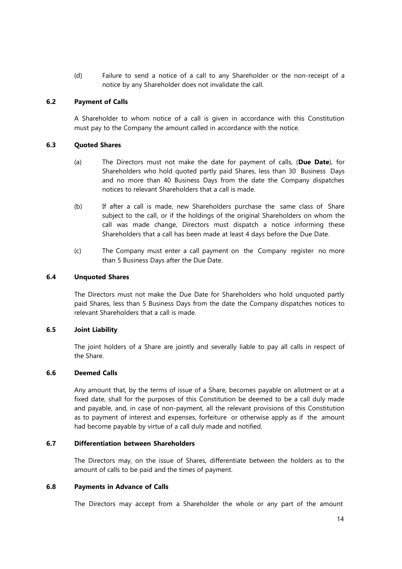(d) Failure to send a notice of a call to any Shareholder or the non-receipt of a notice by any Shareholder does not invalidate the call.

## <span id="page-21-0"></span>**6.2 Payment of Calls**

A Shareholder to whom notice of a call is given in accordance with this Constitution must pay to the Company the amount called in accordance with the notice.

## <span id="page-21-1"></span>**6.3 Quoted Shares**

- (a) The Directors must not make the date for payment of calls, (**Due Date**), for Shareholders who hold quoted partly paid Shares, less than 30 Business Days and no more than 40 Business Days from the date the Company dispatches notices to relevant Shareholders that a call is made.
- (b) If after a call is made, new Shareholders purchase the same class of Share subject to the call, or if the holdings of the original Shareholders on whom the call was made change, Directors must dispatch a notice informing these Shareholders that a call has been made at least 4 days before the Due Date.
- (c) The Company must enter a call payment on the Company register no more than 5 Business Days after the Due Date.

## <span id="page-21-2"></span>**6.4 Unquoted Shares**

The Directors must not make the Due Date for Shareholders who hold unquoted partly paid Shares, less than 5 Business Days from the date the Company dispatches notices to relevant Shareholders that a call is made.

## <span id="page-21-3"></span>**6.5 Joint Liability**

The joint holders of a Share are jointly and severally liable to pay all calls in respect of the Share.

## <span id="page-21-4"></span>**6.6 Deemed Calls**

Any amount that, by the terms of issue of a Share, becomes payable on allotment or at a fixed date, shall for the purposes of this Constitution be deemed to be a call duly made and payable, and, in case of non-payment, all the relevant provisions of this Constitution as to payment of interest and expenses, forfeiture or otherwise apply as if the amount had become payable by virtue of a call duly made and notified.

## <span id="page-21-5"></span>**6.7 Differentiation between Shareholders**

The Directors may, on the issue of Shares, differentiate between the holders as to the amount of calls to be paid and the times of payment.

#### <span id="page-21-6"></span>**6.8 Payments in Advance of Calls**

The Directors may accept from a Shareholder the whole or any part of the amount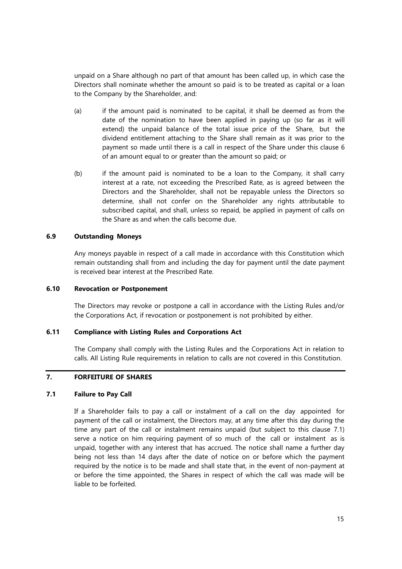unpaid on a Share although no part of that amount has been called up, in which case the Directors shall nominate whether the amount so paid is to be treated as capital or a loan to the Company by the Shareholder, and:

- (a) if the amount paid is nominated to be capital, it shall be deemed as from the date of the nomination to have been applied in paying up (so far as it will extend) the unpaid balance of the total issue price of the Share, but the dividend entitlement attaching to the Share shall remain as it was prior to the payment so made until there is a call in respect of the Share under this clause 6 of an amount equal to or greater than the amount so paid; or
- (b) if the amount paid is nominated to be a loan to the Company, it shall carry interest at a rate, not exceeding the Prescribed Rate, as is agreed between the Directors and the Shareholder, shall not be repayable unless the Directors so determine, shall not confer on the Shareholder any rights attributable to subscribed capital, and shall, unless so repaid, be applied in payment of calls on the Share as and when the calls become due.

## <span id="page-22-0"></span>**6.9 Outstanding Moneys**

Any moneys payable in respect of a call made in accordance with this Constitution which remain outstanding shall from and including the day for payment until the date payment is received bear interest at the Prescribed Rate.

#### <span id="page-22-1"></span>**6.10 Revocation or Postponement**

The Directors may revoke or postpone a call in accordance with the Listing Rules and/or the Corporations Act, if revocation or postponement is not prohibited by either.

## <span id="page-22-2"></span>**6.11 Compliance with Listing Rules and Corporations Act**

The Company shall comply with the Listing Rules and the Corporations Act in relation to calls. All Listing Rule requirements in relation to calls are not covered in this Constitution.

# <span id="page-22-3"></span>**7. FORFEITURE OF SHARES**

# <span id="page-22-4"></span>**7.1 Failure to Pay Call**

If a Shareholder fails to pay a call or instalment of a call on the day appointed for payment of the call or instalment, the Directors may, at any time after this day during the time any part of the call or instalment remains unpaid (but subject to this clause 7.1) serve a notice on him requiring payment of so much of the call or instalment as is unpaid, together with any interest that has accrued. The notice shall name a further day being not less than 14 days after the date of notice on or before which the payment required by the notice is to be made and shall state that, in the event of non-payment at or before the time appointed, the Shares in respect of which the call was made will be liable to be forfeited.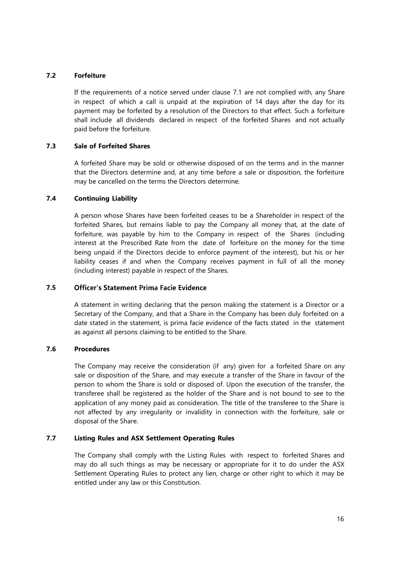## <span id="page-23-0"></span>**7.2 Forfeiture**

If the requirements of a notice served under clause 7.1 are not complied with, any Share in respect of which a call is unpaid at the expiration of 14 days after the day for its payment may be forfeited by a resolution of the Directors to that effect. Such a forfeiture shall include all dividends declared in respect of the forfeited Shares and not actually paid before the forfeiture.

## <span id="page-23-1"></span>**7.3 Sale of Forfeited Shares**

A forfeited Share may be sold or otherwise disposed of on the terms and in the manner that the Directors determine and, at any time before a sale or disposition, the forfeiture may be cancelled on the terms the Directors determine.

## <span id="page-23-2"></span>**7.4 Continuing Liability**

A person whose Shares have been forfeited ceases to be a Shareholder in respect of the forfeited Shares, but remains liable to pay the Company all money that, at the date of forfeiture, was payable by him to the Company in respect of the Shares (including interest at the Prescribed Rate from the date of forfeiture on the money for the time being unpaid if the Directors decide to enforce payment of the interest), but his or her liability ceases if and when the Company receives payment in full of all the money (including interest) payable in respect of the Shares.

#### **7.5 Officer's Statement Prima Facie Evidence**

A statement in writing declaring that the person making the statement is a Director or a Secretary of the Company, and that a Share in the Company has been duly forfeited on a date stated in the statement, is prima facie evidence of the facts stated in the statement as against all persons claiming to be entitled to the Share.

## **7.6 Procedures**

The Company may receive the consideration (if any) given for a forfeited Share on any sale or disposition of the Share, and may execute a transfer of the Share in favour of the person to whom the Share is sold or disposed of. Upon the execution of the transfer, the transferee shall be registered as the holder of the Share and is not bound to see to the application of any money paid as consideration. The title of the transferee to the Share is not affected by any irregularity or invalidity in connection with the forfeiture, sale or disposal of the Share.

## **7.7 Listing Rules and ASX Settlement Operating Rules**

The Company shall comply with the Listing Rules with respect to forfeited Shares and may do all such things as may be necessary or appropriate for it to do under the ASX Settlement Operating Rules to protect any lien, charge or other right to which it may be entitled under any law or this Constitution.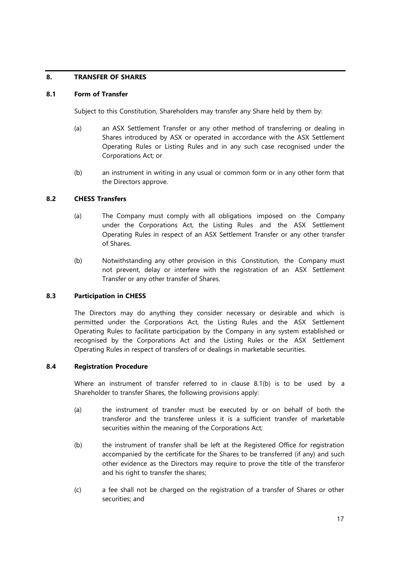# **8. TRANSFER OF SHARES**

## **8.1 Form of Transfer**

Subject to this Constitution, Shareholders may transfer any Share held by them by:

- (a) an ASX Settlement Transfer or any other method of transferring or dealing in Shares introduced by ASX or operated in accordance with the ASX Settlement Operating Rules or Listing Rules and in any such case recognised under the Corporations Act; or
- (b) an instrument in writing in any usual or common form or in any other form that the Directors approve.

## **8.2 CHESS Transfers**

- (a) The Company must comply with all obligations imposed on the Company under the Corporations Act, the Listing Rules and the ASX Settlement Operating Rules in respect of an ASX Settlement Transfer or any other transfer of Shares.
- (b) Notwithstanding any other provision in this Constitution, the Company must not prevent, delay or interfere with the registration of an ASX Settlement Transfer or any other transfer of Shares.

#### **8.3 Participation in CHESS**

The Directors may do anything they consider necessary or desirable and which is permitted under the Corporations Act, the Listing Rules and the ASX Settlement Operating Rules to facilitate participation by the Company in any system established or recognised by the Corporations Act and the Listing Rules or the ASX Settlement Operating Rules in respect of transfers of or dealings in marketable securities.

## **8.4 Registration Procedure**

Where an instrument of transfer referred to in clause 8.1(b) is to be used by a Shareholder to transfer Shares, the following provisions apply:

- (a) the instrument of transfer must be executed by or on behalf of both the transferor and the transferee unless it is a sufficient transfer of marketable securities within the meaning of the Corporations Act;
- (b) the instrument of transfer shall be left at the Registered Office for registration accompanied by the certificate for the Shares to be transferred (if any) and such other evidence as the Directors may require to prove the title of the transferor and his right to transfer the shares;
- (c) a fee shall not be charged on the registration of a transfer of Shares or other securities; and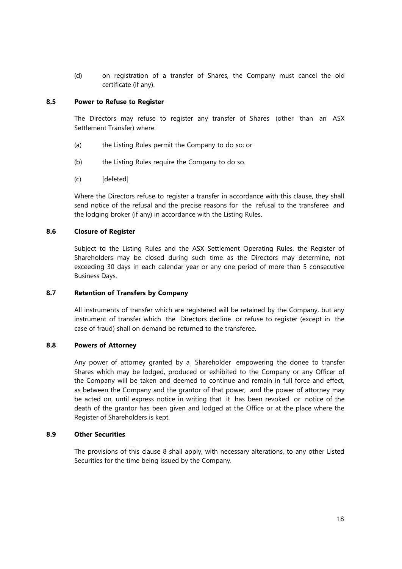(d) on registration of a transfer of Shares, the Company must cancel the old certificate (if any).

## **8.5 Power to Refuse to Register**

The Directors may refuse to register any transfer of Shares (other than an ASX Settlement Transfer) where:

- (a) the Listing Rules permit the Company to do so; or
- (b) the Listing Rules require the Company to do so.
- (c) [deleted]

Where the Directors refuse to register a transfer in accordance with this clause, they shall send notice of the refusal and the precise reasons for the refusal to the transferee and the lodging broker (if any) in accordance with the Listing Rules.

## **8.6 Closure of Register**

Subject to the Listing Rules and the ASX Settlement Operating Rules, the Register of Shareholders may be closed during such time as the Directors may determine, not exceeding 30 days in each calendar year or any one period of more than 5 consecutive Business Days.

## **8.7 Retention of Transfers by Company**

All instruments of transfer which are registered will be retained by the Company, but any instrument of transfer which the Directors decline or refuse to register (except in the case of fraud) shall on demand be returned to the transferee.

## **8.8 Powers of Attorney**

Any power of attorney granted by a Shareholder empowering the donee to transfer Shares which may be lodged, produced or exhibited to the Company or any Officer of the Company will be taken and deemed to continue and remain in full force and effect, as between the Company and the grantor of that power, and the power of attorney may be acted on, until express notice in writing that it has been revoked or notice of the death of the grantor has been given and lodged at the Office or at the place where the Register of Shareholders is kept.

#### **8.9 Other Securities**

The provisions of this clause 8 shall apply, with necessary alterations, to any other Listed Securities for the time being issued by the Company.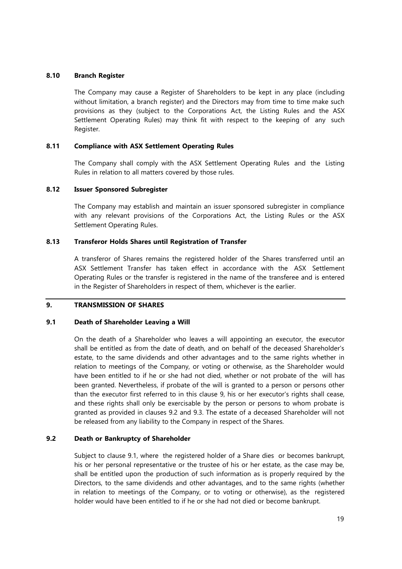## **8.10 Branch Register**

The Company may cause a Register of Shareholders to be kept in any place (including without limitation, a branch register) and the Directors may from time to time make such provisions as they (subject to the Corporations Act, the Listing Rules and the ASX Settlement Operating Rules) may think fit with respect to the keeping of any such Register.

## **8.11 Compliance with ASX Settlement Operating Rules**

The Company shall comply with the ASX Settlement Operating Rules and the Listing Rules in relation to all matters covered by those rules.

## **8.12 Issuer Sponsored Subregister**

The Company may establish and maintain an issuer sponsored subregister in compliance with any relevant provisions of the Corporations Act, the Listing Rules or the ASX Settlement Operating Rules.

## **8.13 Transferor Holds Shares until Registration of Transfer**

A transferor of Shares remains the registered holder of the Shares transferred until an ASX Settlement Transfer has taken effect in accordance with the ASX Settlement Operating Rules or the transfer is registered in the name of the transferee and is entered in the Register of Shareholders in respect of them, whichever is the earlier.

#### **9. TRANSMISSION OF SHARES**

## **9.1 Death of Shareholder Leaving a Will**

On the death of a Shareholder who leaves a will appointing an executor, the executor shall be entitled as from the date of death, and on behalf of the deceased Shareholder's estate, to the same dividends and other advantages and to the same rights whether in relation to meetings of the Company, or voting or otherwise, as the Shareholder would have been entitled to if he or she had not died, whether or not probate of the will has been granted. Nevertheless, if probate of the will is granted to a person or persons other than the executor first referred to in this clause 9, his or her executor's rights shall cease, and these rights shall only be exercisable by the person or persons to whom probate is granted as provided in clauses 9.2 and 9.3. The estate of a deceased Shareholder will not be released from any liability to the Company in respect of the Shares.

## **9.2 Death or Bankruptcy of Shareholder**

Subject to clause 9.1, where the registered holder of a Share dies or becomes bankrupt, his or her personal representative or the trustee of his or her estate, as the case may be, shall be entitled upon the production of such information as is properly required by the Directors, to the same dividends and other advantages, and to the same rights (whether in relation to meetings of the Company, or to voting or otherwise), as the registered holder would have been entitled to if he or she had not died or become bankrupt.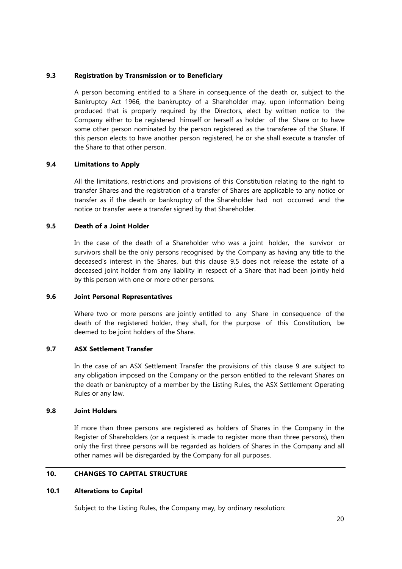## **9.3 Registration by Transmission or to Beneficiary**

A person becoming entitled to a Share in consequence of the death or, subject to the Bankruptcy Act 1966, the bankruptcy of a Shareholder may, upon information being produced that is properly required by the Directors, elect by written notice to the Company either to be registered himself or herself as holder of the Share or to have some other person nominated by the person registered as the transferee of the Share. If this person elects to have another person registered, he or she shall execute a transfer of the Share to that other person.

## **9.4 Limitations to Apply**

All the limitations, restrictions and provisions of this Constitution relating to the right to transfer Shares and the registration of a transfer of Shares are applicable to any notice or transfer as if the death or bankruptcy of the Shareholder had not occurred and the notice or transfer were a transfer signed by that Shareholder.

## **9.5 Death of a Joint Holder**

In the case of the death of a Shareholder who was a joint holder, the survivor or survivors shall be the only persons recognised by the Company as having any title to the deceased's interest in the Shares, but this clause 9.5 does not release the estate of a deceased joint holder from any liability in respect of a Share that had been jointly held by this person with one or more other persons.

#### **9.6 Joint Personal Representatives**

Where two or more persons are jointly entitled to any Share in consequence of the death of the registered holder, they shall, for the purpose of this Constitution, be deemed to be joint holders of the Share.

## **9.7 ASX Settlement Transfer**

In the case of an ASX Settlement Transfer the provisions of this clause 9 are subject to any obligation imposed on the Company or the person entitled to the relevant Shares on the death or bankruptcy of a member by the Listing Rules, the ASX Settlement Operating Rules or any law.

## **9.8 Joint Holders**

If more than three persons are registered as holders of Shares in the Company in the Register of Shareholders (or a request is made to register more than three persons), then only the first three persons will be regarded as holders of Shares in the Company and all other names will be disregarded by the Company for all purposes.

# **10. CHANGES TO CAPITAL STRUCTURE**

#### **10.1 Alterations to Capital**

Subject to the Listing Rules, the Company may, by ordinary resolution: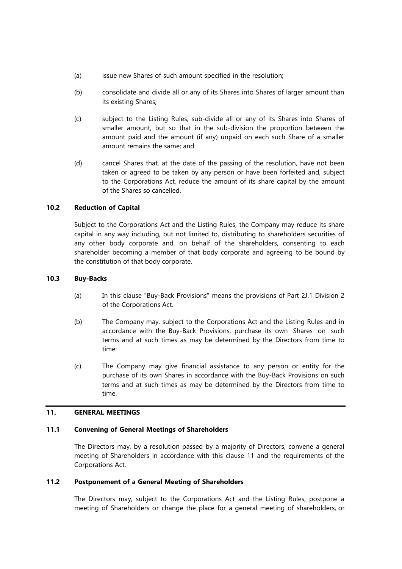- (a) issue new Shares of such amount specified in the resolution;
- (b) consolidate and divide all or any of its Shares into Shares of larger amount than its existing Shares;
- (c) subject to the Listing Rules, sub-divide all or any of its Shares into Shares of smaller amount, but so that in the sub-division the proportion between the amount paid and the amount (if any) unpaid on each such Share of a smaller amount remains the same; and
- (d) cancel Shares that, at the date of the passing of the resolution, have not been taken or agreed to be taken by any person or have been forfeited and, subject to the Corporations Act, reduce the amount of its share capital by the amount of the Shares so cancelled.

## **10.2 Reduction of Capital**

Subject to the Corporations Act and the Listing Rules, the Company may reduce its share capital in any way including, but not limited to, distributing to shareholders securities of any other body corporate and, on behalf of the shareholders, consenting to each shareholder becoming a member of that body corporate and agreeing to be bound by the constitution of that body corporate.

## **10.3 Buy-Backs**

- (a) In this clause "Buy-Back Provisions" means the provisions of Part 2J.1 Division 2 of the Corporations Act.
- (b) The Company may, subject to the Corporations Act and the Listing Rules and in accordance with the Buy-Back Provisions, purchase its own Shares on such terms and at such times as may be determined by the Directors from time to time:
- (c) The Company may give financial assistance to any person or entity for the purchase of its own Shares in accordance with the Buy-Back Provisions on such terms and at such times as may be determined by the Directors from time to time.

# **11. GENERAL MEETINGS**

#### **11.1 Convening of General Meetings of Shareholders**

The Directors may, by a resolution passed by a majority of Directors, convene a general meeting of Shareholders in accordance with this clause 11 and the requirements of the Corporations Act.

## **11.2 Postponement of a General Meeting of Shareholders**

The Directors may, subject to the Corporations Act and the Listing Rules, postpone a meeting of Shareholders or change the place for a general meeting of shareholders, or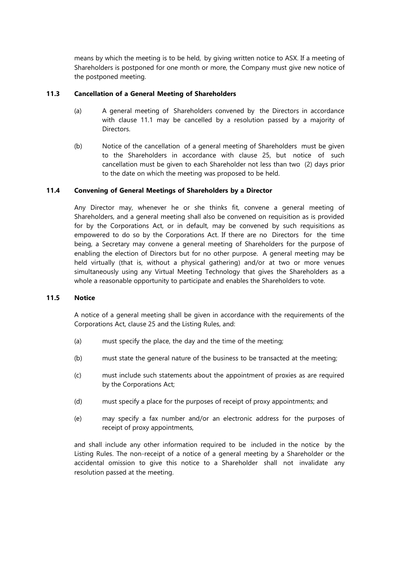means by which the meeting is to be held, by giving written notice to ASX. If a meeting of Shareholders is postponed for one month or more, the Company must give new notice of the postponed meeting.

## **11.3 Cancellation of a General Meeting of Shareholders**

- (a) A general meeting of Shareholders convened by the Directors in accordance with clause 11.1 may be cancelled by a resolution passed by a majority of Directors.
- (b) Notice of the cancellation of a general meeting of Shareholders must be given to the Shareholders in accordance with clause 25, but notice of such cancellation must be given to each Shareholder not less than two (2) days prior to the date on which the meeting was proposed to be held.

## **11.4 Convening of General Meetings of Shareholders by a Director**

Any Director may, whenever he or she thinks fit, convene a general meeting of Shareholders, and a general meeting shall also be convened on requisition as is provided for by the Corporations Act, or in default, may be convened by such requisitions as empowered to do so by the Corporations Act. If there are no Directors for the time being, a Secretary may convene a general meeting of Shareholders for the purpose of enabling the election of Directors but for no other purpose. A general meeting may be held virtually (that is, without a physical gathering) and/or at two or more venues simultaneously using any Virtual Meeting Technology that gives the Shareholders as a whole a reasonable opportunity to participate and enables the Shareholders to vote.

## **11.5 Notice**

A notice of a general meeting shall be given in accordance with the requirements of the Corporations Act, clause 25 and the Listing Rules, and:

- (a) must specify the place, the day and the time of the meeting;
- (b) must state the general nature of the business to be transacted at the meeting;
- (c) must include such statements about the appointment of proxies as are required by the Corporations Act;
- (d) must specify a place for the purposes of receipt of proxy appointments; and
- (e) may specify a fax number and/or an electronic address for the purposes of receipt of proxy appointments,

and shall include any other information required to be included in the notice by the Listing Rules. The non-receipt of a notice of a general meeting by a Shareholder or the accidental omission to give this notice to a Shareholder shall not invalidate any resolution passed at the meeting.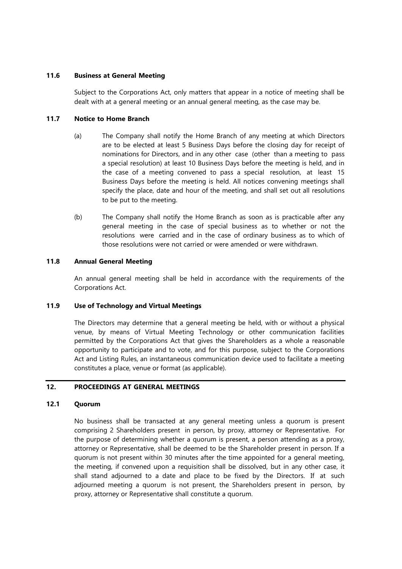## **11.6 Business at General Meeting**

Subject to the Corporations Act, only matters that appear in a notice of meeting shall be dealt with at a general meeting or an annual general meeting, as the case may be.

## **11.7 Notice to Home Branch**

- (a) The Company shall notify the Home Branch of any meeting at which Directors are to be elected at least 5 Business Days before the closing day for receipt of nominations for Directors, and in any other case (other than a meeting to pass a special resolution) at least 10 Business Days before the meeting is held, and in the case of a meeting convened to pass a special resolution, at least 15 Business Days before the meeting is held. All notices convening meetings shall specify the place, date and hour of the meeting, and shall set out all resolutions to be put to the meeting.
- (b) The Company shall notify the Home Branch as soon as is practicable after any general meeting in the case of special business as to whether or not the resolutions were carried and in the case of ordinary business as to which of those resolutions were not carried or were amended or were withdrawn.

## **11.8 Annual General Meeting**

An annual general meeting shall be held in accordance with the requirements of the Corporations Act.

#### **11.9 Use of Technology and Virtual Meetings**

The Directors may determine that a general meeting be held, with or without a physical venue, by means of Virtual Meeting Technology or other communication facilities permitted by the Corporations Act that gives the Shareholders as a whole a reasonable opportunity to participate and to vote, and for this purpose, subject to the Corporations Act and Listing Rules, an instantaneous communication device used to facilitate a meeting constitutes a place, venue or format (as applicable).

# **12. PROCEEDINGS AT GENERAL MEETINGS**

## **12.1 Quorum**

No business shall be transacted at any general meeting unless a quorum is present comprising 2 Shareholders present in person, by proxy, attorney or Representative. For the purpose of determining whether a quorum is present, a person attending as a proxy, attorney or Representative, shall be deemed to be the Shareholder present in person. If a quorum is not present within 30 minutes after the time appointed for a general meeting, the meeting, if convened upon a requisition shall be dissolved, but in any other case, it shall stand adjourned to a date and place to be fixed by the Directors. If at such adjourned meeting a quorum is not present, the Shareholders present in person, by proxy, attorney or Representative shall constitute a quorum.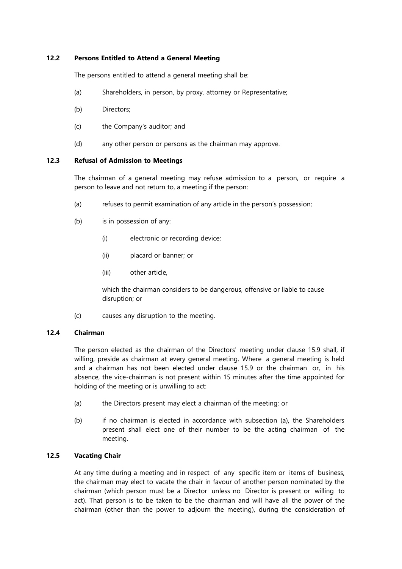## **12.2 Persons Entitled to Attend a General Meeting**

The persons entitled to attend a general meeting shall be:

- (a) Shareholders, in person, by proxy, attorney or Representative;
- (b) Directors;
- (c) the Company's auditor; and
- (d) any other person or persons as the chairman may approve.

## **12.3 Refusal of Admission to Meetings**

The chairman of a general meeting may refuse admission to a person, or require a person to leave and not return to, a meeting if the person:

- (a) refuses to permit examination of any article in the person's possession;
- (b) is in possession of any:
	- (i) electronic or recording device;
	- (ii) placard or banner; or
	- (iii) other article,

which the chairman considers to be dangerous, offensive or liable to cause disruption; or

(c) causes any disruption to the meeting.

## **12.4 Chairman**

The person elected as the chairman of the Directors' meeting under clause 15.9 shall, if willing, preside as chairman at every general meeting. Where a general meeting is held and a chairman has not been elected under clause 15.9 or the chairman or, in his absence, the vice-chairman is not present within 15 minutes after the time appointed for holding of the meeting or is unwilling to act:

- (a) the Directors present may elect a chairman of the meeting; or
- (b) if no chairman is elected in accordance with subsection (a), the Shareholders present shall elect one of their number to be the acting chairman of the meeting.

# **12.5 Vacating Chair**

At any time during a meeting and in respect of any specific item or items of business, the chairman may elect to vacate the chair in favour of another person nominated by the chairman (which person must be a Director unless no Director is present or willing to act). That person is to be taken to be the chairman and will have all the power of the chairman (other than the power to adjourn the meeting), during the consideration of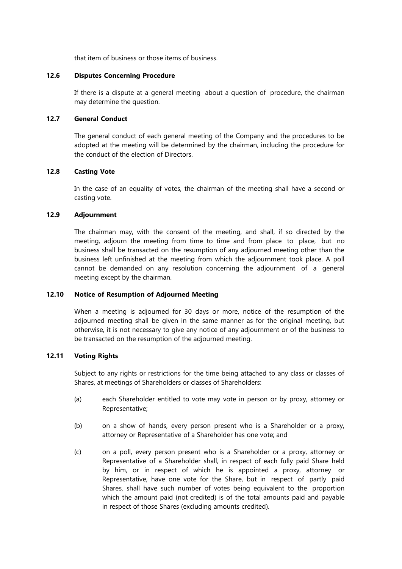that item of business or those items of business.

## **12.6 Disputes Concerning Procedure**

If there is a dispute at a general meeting about a question of procedure, the chairman may determine the question.

## **12.7 General Conduct**

The general conduct of each general meeting of the Company and the procedures to be adopted at the meeting will be determined by the chairman, including the procedure for the conduct of the election of Directors.

## **12.8 Casting Vote**

In the case of an equality of votes, the chairman of the meeting shall have a second or casting vote.

## **12.9 Adjournment**

The chairman may, with the consent of the meeting, and shall, if so directed by the meeting, adjourn the meeting from time to time and from place to place, but no business shall be transacted on the resumption of any adjourned meeting other than the business left unfinished at the meeting from which the adjournment took place. A poll cannot be demanded on any resolution concerning the adjournment of a general meeting except by the chairman.

# **12.10 Notice of Resumption of Adjourned Meeting**

When a meeting is adjourned for 30 days or more, notice of the resumption of the adjourned meeting shall be given in the same manner as for the original meeting, but otherwise, it is not necessary to give any notice of any adjournment or of the business to be transacted on the resumption of the adjourned meeting.

## **12.11 Voting Rights**

Subject to any rights or restrictions for the time being attached to any class or classes of Shares, at meetings of Shareholders or classes of Shareholders:

- (a) each Shareholder entitled to vote may vote in person or by proxy, attorney or Representative;
- (b) on a show of hands, every person present who is a Shareholder or a proxy, attorney or Representative of a Shareholder has one vote; and
- (c) on a poll, every person present who is a Shareholder or a proxy, attorney or Representative of a Shareholder shall, in respect of each fully paid Share held by him, or in respect of which he is appointed a proxy, attorney or Representative, have one vote for the Share, but in respect of partly paid Shares, shall have such number of votes being equivalent to the proportion which the amount paid (not credited) is of the total amounts paid and payable in respect of those Shares (excluding amounts credited).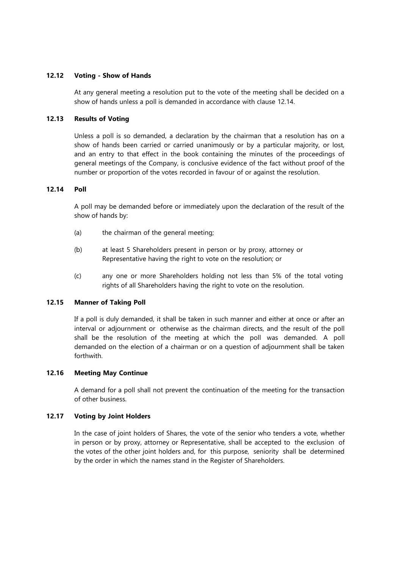## **12.12 Voting - Show of Hands**

At any general meeting a resolution put to the vote of the meeting shall be decided on a show of hands unless a poll is demanded in accordance with clause 12.14.

## **12.13 Results of Voting**

Unless a poll is so demanded, a declaration by the chairman that a resolution has on a show of hands been carried or carried unanimously or by a particular majority, or lost, and an entry to that effect in the book containing the minutes of the proceedings of general meetings of the Company, is conclusive evidence of the fact without proof of the number or proportion of the votes recorded in favour of or against the resolution.

## **12.14 Poll**

A poll may be demanded before or immediately upon the declaration of the result of the show of hands by:

- (a) the chairman of the general meeting;
- (b) at least 5 Shareholders present in person or by proxy, attorney or Representative having the right to vote on the resolution; or
- (c) any one or more Shareholders holding not less than 5% of the total voting rights of all Shareholders having the right to vote on the resolution.

## **12.15 Manner of Taking Poll**

If a poll is duly demanded, it shall be taken in such manner and either at once or after an interval or adjournment or otherwise as the chairman directs, and the result of the poll shall be the resolution of the meeting at which the poll was demanded. A poll demanded on the election of a chairman or on a question of adjournment shall be taken forthwith.

## **12.16 Meeting May Continue**

A demand for a poll shall not prevent the continuation of the meeting for the transaction of other business.

#### **12.17 Voting by Joint Holders**

In the case of joint holders of Shares, the vote of the senior who tenders a vote, whether in person or by proxy, attorney or Representative, shall be accepted to the exclusion of the votes of the other joint holders and, for this purpose, seniority shall be determined by the order in which the names stand in the Register of Shareholders.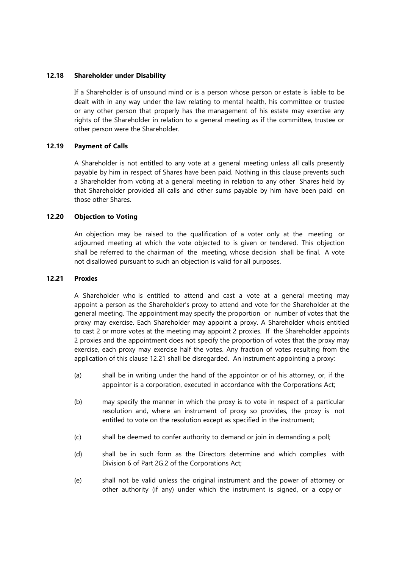## **12.18 Shareholder under Disability**

If a Shareholder is of unsound mind or is a person whose person or estate is liable to be dealt with in any way under the law relating to mental health, his committee or trustee or any other person that properly has the management of his estate may exercise any rights of the Shareholder in relation to a general meeting as if the committee, trustee or other person were the Shareholder.

## **12.19 Payment of Calls**

A Shareholder is not entitled to any vote at a general meeting unless all calls presently payable by him in respect of Shares have been paid. Nothing in this clause prevents such a Shareholder from voting at a general meeting in relation to any other Shares held by that Shareholder provided all calls and other sums payable by him have been paid on those other Shares.

## **12.20 Objection to Voting**

An objection may be raised to the qualification of a voter only at the meeting or adjourned meeting at which the vote objected to is given or tendered. This objection shall be referred to the chairman of the meeting, whose decision shall be final. A vote not disallowed pursuant to such an objection is valid for all purposes.

# **12.21 Proxies**

A Shareholder who is entitled to attend and cast a vote at a general meeting may appoint a person as the Shareholder's proxy to attend and vote for the Shareholder at the general meeting. The appointment may specify the proportion or number of votes that the proxy may exercise. Each Shareholder may appoint a proxy. A Shareholder whois entitled to cast 2 or more votes at the meeting may appoint 2 proxies. If the Shareholder appoints 2 proxies and the appointment does not specify the proportion of votes that the proxy may exercise, each proxy may exercise half the votes. Any fraction of votes resulting from the application of this clause 12.21 shall be disregarded. An instrument appointing a proxy:

- (a) shall be in writing under the hand of the appointor or of his attorney, or, if the appointor is a corporation, executed in accordance with the Corporations Act;
- (b) may specify the manner in which the proxy is to vote in respect of a particular resolution and, where an instrument of proxy so provides, the proxy is not entitled to vote on the resolution except as specified in the instrument;
- (c) shall be deemed to confer authority to demand or join in demanding a poll;
- (d) shall be in such form as the Directors determine and which complies with Division 6 of Part 2G.2 of the Corporations Act;
- (e) shall not be valid unless the original instrument and the power of attorney or other authority (if any) under which the instrument is signed, or a copy or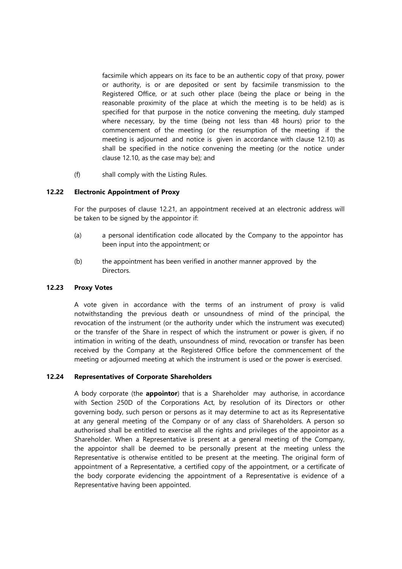facsimile which appears on its face to be an authentic copy of that proxy, power or authority, is or are deposited or sent by facsimile transmission to the Registered Office, or at such other place (being the place or being in the reasonable proximity of the place at which the meeting is to be held) as is specified for that purpose in the notice convening the meeting, duly stamped where necessary, by the time (being not less than 48 hours) prior to the commencement of the meeting (or the resumption of the meeting if the meeting is adjourned and notice is given in accordance with clause 12.10) as shall be specified in the notice convening the meeting (or the notice under clause 12.10, as the case may be); and

(f) shall comply with the Listing Rules.

# **12.22 Electronic Appointment of Proxy**

For the purposes of clause 12.21, an appointment received at an electronic address will be taken to be signed by the appointor if:

- (a) a personal identification code allocated by the Company to the appointor has been input into the appointment; or
- (b) the appointment has been verified in another manner approved by the Directors.

## **12.23 Proxy Votes**

A vote given in accordance with the terms of an instrument of proxy is valid notwithstanding the previous death or unsoundness of mind of the principal, the revocation of the instrument (or the authority under which the instrument was executed) or the transfer of the Share in respect of which the instrument or power is given, if no intimation in writing of the death, unsoundness of mind, revocation or transfer has been received by the Company at the Registered Office before the commencement of the meeting or adjourned meeting at which the instrument is used or the power is exercised.

# **12.24 Representatives of Corporate Shareholders**

A body corporate (the **appointor**) that is a Shareholder may authorise, in accordance with Section 250D of the Corporations Act, by resolution of its Directors or other governing body, such person or persons as it may determine to act as its Representative at any general meeting of the Company or of any class of Shareholders. A person so authorised shall be entitled to exercise all the rights and privileges of the appointor as a Shareholder. When a Representative is present at a general meeting of the Company, the appointor shall be deemed to be personally present at the meeting unless the Representative is otherwise entitled to be present at the meeting. The original form of appointment of a Representative, a certified copy of the appointment, or a certificate of the body corporate evidencing the appointment of a Representative is evidence of a Representative having been appointed.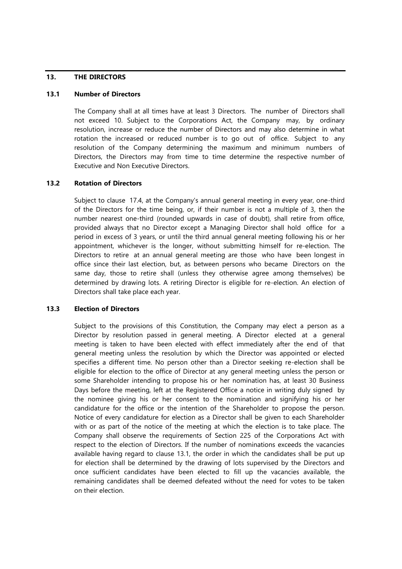## **13. THE DIRECTORS**

## **13.1 Number of Directors**

The Company shall at all times have at least 3 Directors. The number of Directors shall not exceed 10. Subject to the Corporations Act, the Company may, by ordinary resolution, increase or reduce the number of Directors and may also determine in what rotation the increased or reduced number is to go out of office. Subject to any resolution of the Company determining the maximum and minimum numbers of Directors, the Directors may from time to time determine the respective number of Executive and Non Executive Directors.

## **13.2 Rotation of Directors**

Subject to clause 17.4, at the Company's annual general meeting in every year, one-third of the Directors for the time being, or, if their number is not a multiple of 3, then the number nearest one-third (rounded upwards in case of doubt), shall retire from office, provided always that no Director except a Managing Director shall hold office for a period in excess of 3 years, or until the third annual general meeting following his or her appointment, whichever is the longer, without submitting himself for re-election. The Directors to retire at an annual general meeting are those who have been longest in office since their last election, but, as between persons who became Directors on the same day, those to retire shall (unless they otherwise agree among themselves) be determined by drawing lots. A retiring Director is eligible for re-election. An election of Directors shall take place each year.

## **13.3 Election of Directors**

Subject to the provisions of this Constitution, the Company may elect a person as a Director by resolution passed in general meeting. A Director elected at a general meeting is taken to have been elected with effect immediately after the end of that general meeting unless the resolution by which the Director was appointed or elected specifies a different time. No person other than a Director seeking re-election shall be eligible for election to the office of Director at any general meeting unless the person or some Shareholder intending to propose his or her nomination has, at least 30 Business Days before the meeting, left at the Registered Office a notice in writing duly signed by the nominee giving his or her consent to the nomination and signifying his or her candidature for the office or the intention of the Shareholder to propose the person. Notice of every candidature for election as a Director shall be given to each Shareholder with or as part of the notice of the meeting at which the election is to take place. The Company shall observe the requirements of Section 225 of the Corporations Act with respect to the election of Directors. If the number of nominations exceeds the vacancies available having regard to clause 13.1, the order in which the candidates shall be put up for election shall be determined by the drawing of lots supervised by the Directors and once sufficient candidates have been elected to fill up the vacancies available, the remaining candidates shall be deemed defeated without the need for votes to be taken on their election.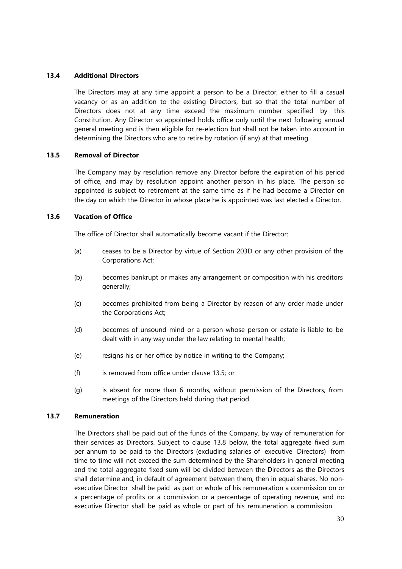## **13.4 Additional Directors**

The Directors may at any time appoint a person to be a Director, either to fill a casual vacancy or as an addition to the existing Directors, but so that the total number of Directors does not at any time exceed the maximum number specified by this Constitution. Any Director so appointed holds office only until the next following annual general meeting and is then eligible for re-election but shall not be taken into account in determining the Directors who are to retire by rotation (if any) at that meeting.

## **13.5 Removal of Director**

The Company may by resolution remove any Director before the expiration of his period of office, and may by resolution appoint another person in his place. The person so appointed is subject to retirement at the same time as if he had become a Director on the day on which the Director in whose place he is appointed was last elected a Director.

## **13.6 Vacation of Office**

The office of Director shall automatically become vacant if the Director:

- (a) ceases to be a Director by virtue of Section 203D or any other provision of the Corporations Act;
- (b) becomes bankrupt or makes any arrangement or composition with his creditors generally;
- (c) becomes prohibited from being a Director by reason of any order made under the Corporations Act;
- (d) becomes of unsound mind or a person whose person or estate is liable to be dealt with in any way under the law relating to mental health;
- (e) resigns his or her office by notice in writing to the Company;
- (f) is removed from office under clause 13.5; or
- (g) is absent for more than 6 months, without permission of the Directors, from meetings of the Directors held during that period.

## **13.7 Remuneration**

The Directors shall be paid out of the funds of the Company, by way of remuneration for their services as Directors. Subject to clause 13.8 below, the total aggregate fixed sum per annum to be paid to the Directors (excluding salaries of executive Directors) from time to time will not exceed the sum determined by the Shareholders in general meeting and the total aggregate fixed sum will be divided between the Directors as the Directors shall determine and, in default of agreement between them, then in equal shares. No nonexecutive Director shall be paid as part or whole of his remuneration a commission on or a percentage of profits or a commission or a percentage of operating revenue, and no executive Director shall be paid as whole or part of his remuneration a commission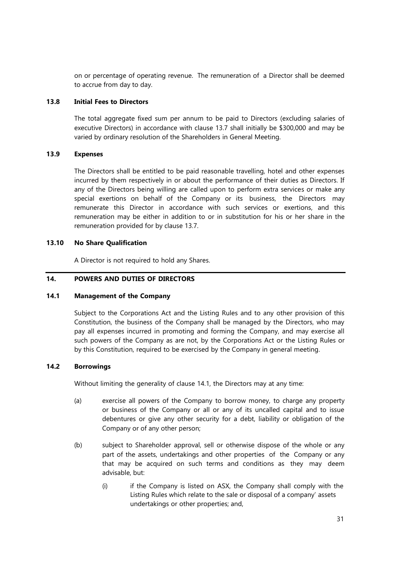on or percentage of operating revenue. The remuneration of a Director shall be deemed to accrue from day to day.

## **13.8 Initial Fees to Directors**

The total aggregate fixed sum per annum to be paid to Directors (excluding salaries of executive Directors) in accordance with clause 13.7 shall initially be \$300,000 and may be varied by ordinary resolution of the Shareholders in General Meeting.

## **13.9 Expenses**

The Directors shall be entitled to be paid reasonable travelling, hotel and other expenses incurred by them respectively in or about the performance of their duties as Directors. If any of the Directors being willing are called upon to perform extra services or make any special exertions on behalf of the Company or its business, the Directors may remunerate this Director in accordance with such services or exertions, and this remuneration may be either in addition to or in substitution for his or her share in the remuneration provided for by clause 13.7.

## **13.10 No Share Qualification**

A Director is not required to hold any Shares.

## **14. POWERS AND DUTIES OF DIRECTORS**

#### **14.1 Management of the Company**

Subject to the Corporations Act and the Listing Rules and to any other provision of this Constitution, the business of the Company shall be managed by the Directors, who may pay all expenses incurred in promoting and forming the Company, and may exercise all such powers of the Company as are not, by the Corporations Act or the Listing Rules or by this Constitution, required to be exercised by the Company in general meeting.

## **14.2 Borrowings**

Without limiting the generality of clause 14.1, the Directors may at any time:

- (a) exercise all powers of the Company to borrow money, to charge any property or business of the Company or all or any of its uncalled capital and to issue debentures or give any other security for a debt, liability or obligation of the Company or of any other person;
- (b) subject to Shareholder approval, sell or otherwise dispose of the whole or any part of the assets, undertakings and other properties of the Company or any that may be acquired on such terms and conditions as they may deem advisable, but:
	- (i) if the Company is listed on ASX, the Company shall comply with the Listing Rules which relate to the sale or disposal of a company' assets undertakings or other properties; and,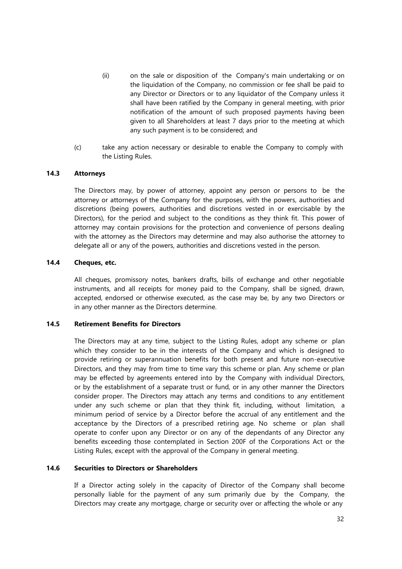- (ii) on the sale or disposition of the Company's main undertaking or on the liquidation of the Company, no commission or fee shall be paid to any Director or Directors or to any liquidator of the Company unless it shall have been ratified by the Company in general meeting, with prior notification of the amount of such proposed payments having been given to all Shareholders at least 7 days prior to the meeting at which any such payment is to be considered; and
- (c) take any action necessary or desirable to enable the Company to comply with the Listing Rules.

## **14.3 Attorneys**

The Directors may, by power of attorney, appoint any person or persons to be the attorney or attorneys of the Company for the purposes, with the powers, authorities and discretions (being powers, authorities and discretions vested in or exercisable by the Directors), for the period and subject to the conditions as they think fit. This power of attorney may contain provisions for the protection and convenience of persons dealing with the attorney as the Directors may determine and may also authorise the attorney to delegate all or any of the powers, authorities and discretions vested in the person.

## **14.4 Cheques, etc.**

All cheques, promissory notes, bankers drafts, bills of exchange and other negotiable instruments, and all receipts for money paid to the Company, shall be signed, drawn, accepted, endorsed or otherwise executed, as the case may be, by any two Directors or in any other manner as the Directors determine.

## **14.5 Retirement Benefits for Directors**

The Directors may at any time, subject to the Listing Rules, adopt any scheme or plan which they consider to be in the interests of the Company and which is designed to provide retiring or superannuation benefits for both present and future non-executive Directors, and they may from time to time vary this scheme or plan. Any scheme or plan may be effected by agreements entered into by the Company with individual Directors, or by the establishment of a separate trust or fund, or in any other manner the Directors consider proper. The Directors may attach any terms and conditions to any entitlement under any such scheme or plan that they think fit, including, without limitation, a minimum period of service by a Director before the accrual of any entitlement and the acceptance by the Directors of a prescribed retiring age. No scheme or plan shall operate to confer upon any Director or on any of the dependants of any Director any benefits exceeding those contemplated in Section 200F of the Corporations Act or the Listing Rules, except with the approval of the Company in general meeting.

#### **14.6 Securities to Directors or Shareholders**

If a Director acting solely in the capacity of Director of the Company shall become personally liable for the payment of any sum primarily due by the Company, the Directors may create any mortgage, charge or security over or affecting the whole or any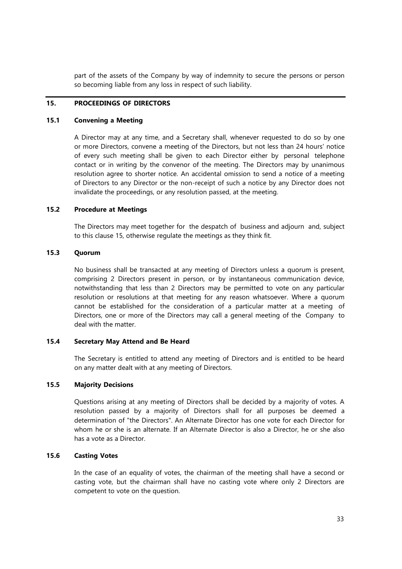part of the assets of the Company by way of indemnity to secure the persons or person so becoming liable from any loss in respect of such liability.

# **15. PROCEEDINGS OF DIRECTORS**

## **15.1 Convening a Meeting**

A Director may at any time, and a Secretary shall, whenever requested to do so by one or more Directors, convene a meeting of the Directors, but not less than 24 hours' notice of every such meeting shall be given to each Director either by personal telephone contact or in writing by the convenor of the meeting. The Directors may by unanimous resolution agree to shorter notice. An accidental omission to send a notice of a meeting of Directors to any Director or the non-receipt of such a notice by any Director does not invalidate the proceedings, or any resolution passed, at the meeting.

#### <span id="page-40-0"></span>**15.2 Procedure at Meetings**

The Directors may meet together for the despatch of business and adjourn and, subject to this clause 15, otherwise regulate the meetings as they think fit.

## **15.3 Quorum**

No business shall be transacted at any meeting of Directors unless a quorum is present, comprising 2 Directors present in person, or by instantaneous communication device, notwithstanding that less than 2 Directors may be permitted to vote on any particular resolution or resolutions at that meeting for any reason whatsoever. Where a quorum cannot be established for the consideration of a particular matter at a meeting of Directors, one or more of the Directors may call a general meeting of the Company to deal with the matter.

#### **15.4 Secretary May Attend and Be Heard**

The Secretary is entitled to attend any meeting of Directors and is entitled to be heard on any matter dealt with at any meeting of Directors.

#### **15.5 Majority Decisions**

Questions arising at any meeting of Directors shall be decided by a majority of votes. A resolution passed by a majority of Directors shall for all purposes be deemed a determination of "the Directors". An Alternate Director has one vote for each Director for whom he or she is an alternate. If an Alternate Director is also a Director, he or she also has a vote as a Director.

## **15.6 Casting Votes**

In the case of an equality of votes, the chairman of the meeting shall have a second or casting vote, but the chairman shall have no casting vote where only 2 Directors are competent to vote on the question.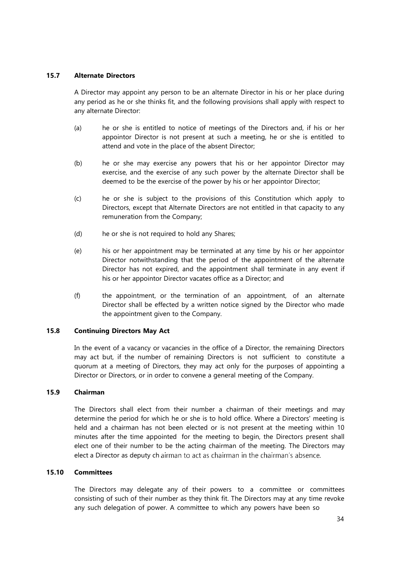## **15.7 Alternate Directors**

A Director may appoint any person to be an alternate Director in his or her place during any period as he or she thinks fit, and the following provisions shall apply with respect to any alternate Director:

- (a) he or she is entitled to notice of meetings of the Directors and, if his or her appointor Director is not present at such a meeting, he or she is entitled to attend and vote in the place of the absent Director;
- (b) he or she may exercise any powers that his or her appointor Director may exercise, and the exercise of any such power by the alternate Director shall be deemed to be the exercise of the power by his or her appointor Director;
- (c) he or she is subject to the provisions of this Constitution which apply to Directors, except that Alternate Directors are not entitled in that capacity to any remuneration from the Company;
- (d) he or she is not required to hold any Shares;
- (e) his or her appointment may be terminated at any time by his or her appointor Director notwithstanding that the period of the appointment of the alternate Director has not expired, and the appointment shall terminate in any event if his or her appointor Director vacates office as a Director; and
- (f) the appointment, or the termination of an appointment, of an alternate Director shall be effected by a written notice signed by the Director who made the appointment given to the Company.

# **15.8 Continuing Directors May Act**

In the event of a vacancy or vacancies in the office of a Director, the remaining Directors may act but, if the number of remaining Directors is not sufficient to constitute a quorum at a meeting of Directors, they may act only for the purposes of appointing a Director or Directors, or in order to convene a general meeting of the Company.

## **15.9 Chairman**

The Directors shall elect from their number a chairman of their meetings and may determine the period for which he or she is to hold office. Where a Directors' meeting is held and a chairman has not been elected or is not present at the meeting within 10 minutes after the time appointed for the meeting to begin, the Directors present shall elect one of their number to be the acting chairman of the meeting. The Directors may elect a Director as deputy ch airman to act as chairman in the chairman's absence.

## **15.10 Committees**

The Directors may delegate any of their powers to a committee or committees consisting of such of their number as they think fit. The Directors may at any time revoke any such delegation of power. A committee to which any powers have been so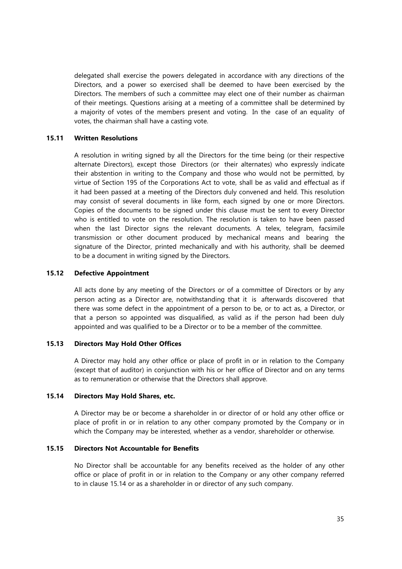delegated shall exercise the powers delegated in accordance with any directions of the Directors, and a power so exercised shall be deemed to have been exercised by the Directors. The members of such a committee may elect one of their number as chairman of their meetings. Questions arising at a meeting of a committee shall be determined by a majority of votes of the members present and voting. In the case of an equality of votes, the chairman shall have a casting vote.

#### **15.11 Written Resolutions**

A resolution in writing signed by all the Directors for the time being (or their respective alternate Directors), except those Directors (or their alternates) who expressly indicate their abstention in writing to the Company and those who would not be permitted, by virtue of Section 195 of the Corporations Act to vote, shall be as valid and effectual as if it had been passed at a meeting of the Directors duly convened and held. This resolution may consist of several documents in like form, each signed by one or more Directors. Copies of the documents to be signed under this clause must be sent to every Director who is entitled to vote on the resolution. The resolution is taken to have been passed when the last Director signs the relevant documents. A telex, telegram, facsimile transmission or other document produced by mechanical means and bearing the signature of the Director, printed mechanically and with his authority, shall be deemed to be a document in writing signed by the Directors.

## **15.12 Defective Appointment**

All acts done by any meeting of the Directors or of a committee of Directors or by any person acting as a Director are, notwithstanding that it is afterwards discovered that there was some defect in the appointment of a person to be, or to act as, a Director, or that a person so appointed was disqualified, as valid as if the person had been duly appointed and was qualified to be a Director or to be a member of the committee.

## **15.13 Directors May Hold Other Offices**

A Director may hold any other office or place of profit in or in relation to the Company (except that of auditor) in conjunction with his or her office of Director and on any terms as to remuneration or otherwise that the Directors shall approve.

# **15.14 Directors May Hold Shares, etc.**

A Director may be or become a shareholder in or director of or hold any other office or place of profit in or in relation to any other company promoted by the Company or in which the Company may be interested, whether as a vendor, shareholder or otherwise.

# **15.15 Directors Not Accountable for Benefits**

No Director shall be accountable for any benefits received as the holder of any other office or place of profit in or in relation to the Company or any other company referred to in clause 15.14 or as a shareholder in or director of any such company.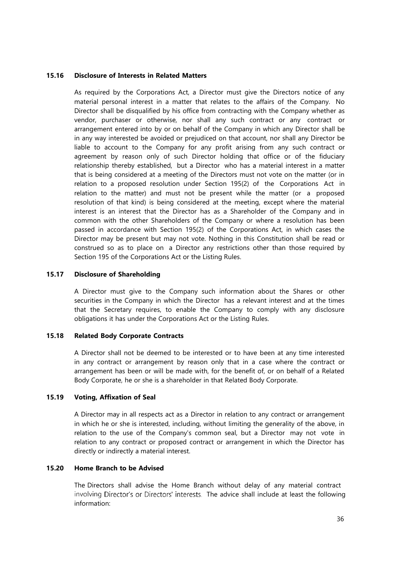## **15.16 Disclosure of Interests in Related Matters**

As required by the Corporations Act, a Director must give the Directors notice of any material personal interest in a matter that relates to the affairs of the Company. No Director shall be disqualified by his office from contracting with the Company whether as vendor, purchaser or otherwise, nor shall any such contract or any contract or arrangement entered into by or on behalf of the Company in which any Director shall be in any way interested be avoided or prejudiced on that account, nor shall any Director be liable to account to the Company for any profit arising from any such contract or agreement by reason only of such Director holding that office or of the fiduciary relationship thereby established, but a Director who has a material interest in a matter that is being considered at a meeting of the Directors must not vote on the matter (or in relation to a proposed resolution under Section 195(2) of the Corporations Act in relation to the matter) and must not be present while the matter (or a proposed resolution of that kind) is being considered at the meeting, except where the material interest is an interest that the Director has as a Shareholder of the Company and in common with the other Shareholders of the Company or where a resolution has been passed in accordance with Section 195(2) of the Corporations Act, in which cases the Director may be present but may not vote. Nothing in this Constitution shall be read or construed so as to place on a Director any restrictions other than those required by Section 195 of the Corporations Act or the Listing Rules.

## **15.17 Disclosure of Shareholding**

A Director must give to the Company such information about the Shares or other securities in the Company in which the Director has a relevant interest and at the times that the Secretary requires, to enable the Company to comply with any disclosure obligations it has under the Corporations Act or the Listing Rules.

## **15.18 Related Body Corporate Contracts**

A Director shall not be deemed to be interested or to have been at any time interested in any contract or arrangement by reason only that in a case where the contract or arrangement has been or will be made with, for the benefit of, or on behalf of a Related Body Corporate, he or she is a shareholder in that Related Body Corporate.

## **15.19 Voting, Affixation of Seal**

A Director may in all respects act as a Director in relation to any contract or arrangement in which he or she is interested, including, without limiting the generality of the above, in relation to the use of the Company's common seal, but a Director may not vote in relation to any contract or proposed contract or arrangement in which the Director has directly or indirectly a material interest.

#### **15.20 Home Branch to be Advised**

The Directors shall advise the Home Branch without delay of any material contract involving Director's or Directors' interests. The advice shall include at least the following information: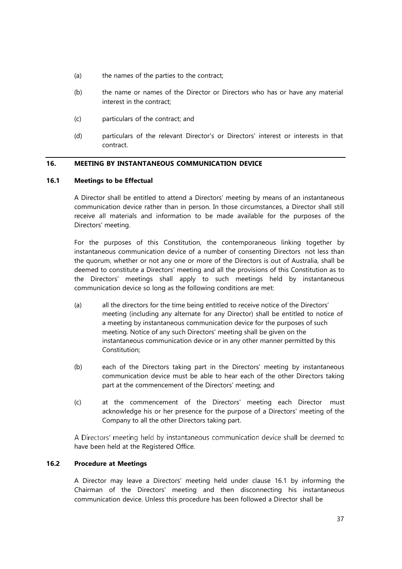- (a) the names of the parties to the contract;
- (b) the name or names of the Director or Directors who has or have any material interest in the contract;
- (c) particulars of the contract; and
- (d) particulars of the relevant Director's or Directors' interest or interests in that contract.

## **16. MEETING BY INSTANTANEOUS COMMUNICATION DEVICE**

#### **16.1 Meetings to be Effectual**

A Director shall be entitled to attend a Directors' meeting by means of an instantaneous communication device rather than in person. In those circumstances, a Director shall still receive all materials and information to be made available for the purposes of the Directors' meeting.

For the purposes of this Constitution, the contemporaneous linking together by instantaneous communication device of a number of consenting Directors not less than the quorum, whether or not any one or more of the Directors is out of Australia, shall be deemed to constitute a Directors' meeting and all the provisions of this Constitution as to the Directors' meetings shall apply to such meetings held by instantaneous communication device so long as the following conditions are met:

- (a) all the directors for the time being entitled to receive notice of the Directors' meeting (including any alternate for any Director) shall be entitled to notice of a meeting by instantaneous communication device for the purposes of such meeting. Notice of any such Directors' meeting shall be given on the instantaneous communication device or in any other manner permitted by this Constitution;
- (b) each of the Directors taking part in the Directors' meeting by instantaneous communication device must be able to hear each of the other Directors taking part at the commencement of the Directors' meeting; and
- (c) at the commencement of the Directors' meeting each Director must acknowledge his or her presence for the purpose of a Directors' meeting of the Company to all the other Directors taking part.

A Directors' meeting held by instantaneous communication device shall be deemed to have been held at the Registered Office.

# **16.2 Procedure at Meetings**

A Director may leave a Directors' meeting held under clause 16.1 by informing the Chairman of the Directors' meeting and then disconnecting his instantaneous communication device. Unless this procedure has been followed a Director shall be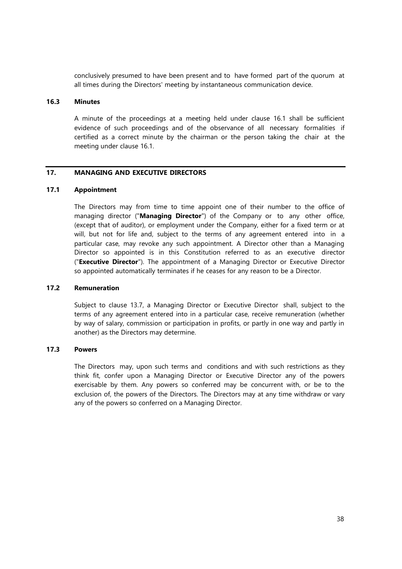conclusively presumed to have been present and to have formed part of the quorum at all times during the Directors' meeting by instantaneous communication device.

# **16.3 Minutes**

A minute of the proceedings at a meeting held under clause 16.1 shall be sufficient evidence of such proceedings and of the observance of all necessary formalities if certified as a correct minute by the chairman or the person taking the chair at the meeting under clause 16.1.

## **17. MANAGING AND EXECUTIVE DIRECTORS**

## **17.1 Appointment**

The Directors may from time to time appoint one of their number to the office of managing director ("**Managing Director**") of the Company or to any other office, (except that of auditor), or employment under the Company, either for a fixed term or at will, but not for life and, subject to the terms of any agreement entered into in a particular case, may revoke any such appointment. A Director other than a Managing Director so appointed is in this Constitution referred to as an executive director ("**Executive Director**"). The appointment of a Managing Director or Executive Director so appointed automatically terminates if he ceases for any reason to be a Director.

## **17.2 Remuneration**

Subject to clause 13.7, a Managing Director or Executive Director shall, subject to the terms of any agreement entered into in a particular case, receive remuneration (whether by way of salary, commission or participation in profits, or partly in one way and partly in another) as the Directors may determine.

## **17.3 Powers**

The Directors may, upon such terms and conditions and with such restrictions as they think fit, confer upon a Managing Director or Executive Director any of the powers exercisable by them. Any powers so conferred may be concurrent with, or be to the exclusion of, the powers of the Directors. The Directors may at any time withdraw or vary any of the powers so conferred on a Managing Director.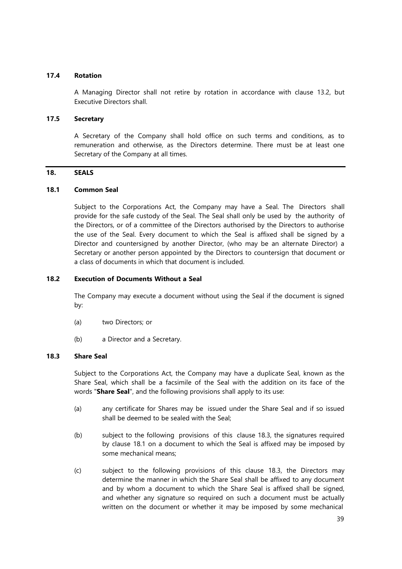## **17.4 Rotation**

A Managing Director shall not retire by rotation in accordance with clause 13.2, but Executive Directors shall.

## **17.5 Secretary**

A Secretary of the Company shall hold office on such terms and conditions, as to remuneration and otherwise, as the Directors determine. There must be at least one Secretary of the Company at all times.

## **18. SEALS**

## **18.1 Common Seal**

Subject to the Corporations Act, the Company may have a Seal. The Directors shall provide for the safe custody of the Seal. The Seal shall only be used by the authority of the Directors, or of a committee of the Directors authorised by the Directors to authorise the use of the Seal. Every document to which the Seal is affixed shall be signed by a Director and countersigned by another Director, (who may be an alternate Director) a Secretary or another person appointed by the Directors to countersign that document or a class of documents in which that document is included.

## **18.2 Execution of Documents Without a Seal**

The Company may execute a document without using the Seal if the document is signed by:

- (a) two Directors; or
- (b) a Director and a Secretary.

## **18.3 Share Seal**

Subject to the Corporations Act, the Company may have a duplicate Seal, known as the Share Seal, which shall be a facsimile of the Seal with the addition on its face of the words "**Share Seal**", and the following provisions shall apply to its use:

- (a) any certificate for Shares may be issued under the Share Seal and if so issued shall be deemed to be sealed with the Seal;
- (b) subject to the following provisions of this clause 18.3, the signatures required by clause 18.1 on a document to which the Seal is affixed may be imposed by some mechanical means;
- (c) subject to the following provisions of this clause 18.3, the Directors may determine the manner in which the Share Seal shall be affixed to any document and by whom a document to which the Share Seal is affixed shall be signed, and whether any signature so required on such a document must be actually written on the document or whether it may be imposed by some mechanical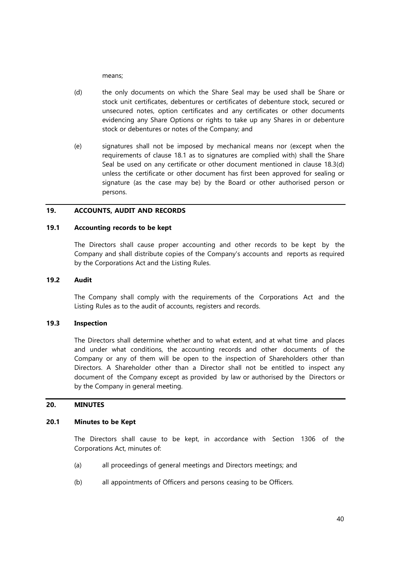means;

- (d) the only documents on which the Share Seal may be used shall be Share or stock unit certificates, debentures or certificates of debenture stock, secured or unsecured notes, option certificates and any certificates or other documents evidencing any Share Options or rights to take up any Shares in or debenture stock or debentures or notes of the Company; and
- (e) signatures shall not be imposed by mechanical means nor (except when the requirements of clause 18.1 as to signatures are complied with) shall the Share Seal be used on any certificate or other document mentioned in clause 18.3(d) unless the certificate or other document has first been approved for sealing or signature (as the case may be) by the Board or other authorised person or persons.

## **19. ACCOUNTS, AUDIT AND RECORDS**

## **19.1 Accounting records to be kept**

The Directors shall cause proper accounting and other records to be kept by the Company and shall distribute copies of the Company's accounts and reports as required by the Corporations Act and the Listing Rules.

# **19.2 Audit**

The Company shall comply with the requirements of the Corporations Act and the Listing Rules as to the audit of accounts, registers and records.

## **19.3 Inspection**

The Directors shall determine whether and to what extent, and at what time and places and under what conditions, the accounting records and other documents of the Company or any of them will be open to the inspection of Shareholders other than Directors. A Shareholder other than a Director shall not be entitled to inspect any document of the Company except as provided by law or authorised by the Directors or by the Company in general meeting.

## **20. MINUTES**

#### **20.1 Minutes to be Kept**

The Directors shall cause to be kept, in accordance with Section 1306 of the Corporations Act, minutes of:

- (a) all proceedings of general meetings and Directors meetings; and
- (b) all appointments of Officers and persons ceasing to be Officers.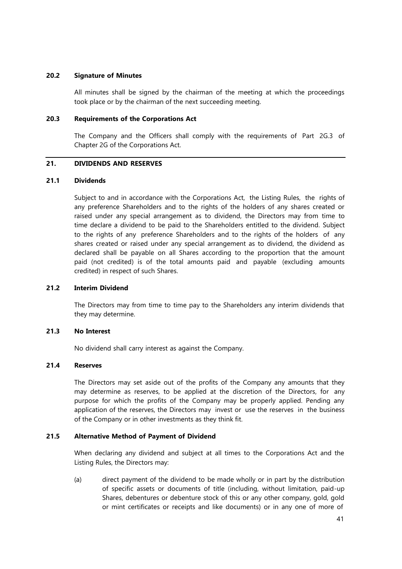#### **20.2 Signature of Minutes**

All minutes shall be signed by the chairman of the meeting at which the proceedings took place or by the chairman of the next succeeding meeting.

## **20.3 Requirements of the Corporations Act**

The Company and the Officers shall comply with the requirements of Part 2G.3 of Chapter 2G of the Corporations Act.

## **21. DIVIDENDS AND RESERVES**

#### **21.1 Dividends**

Subject to and in accordance with the Corporations Act, the Listing Rules, the rights of any preference Shareholders and to the rights of the holders of any shares created or raised under any special arrangement as to dividend, the Directors may from time to time declare a dividend to be paid to the Shareholders entitled to the dividend. Subject to the rights of any preference Shareholders and to the rights of the holders of any shares created or raised under any special arrangement as to dividend, the dividend as declared shall be payable on all Shares according to the proportion that the amount paid (not credited) is of the total amounts paid and payable (excluding amounts credited) in respect of such Shares.

# **21.2 Interim Dividend**

The Directors may from time to time pay to the Shareholders any interim dividends that they may determine.

# **21.3 No Interest**

No dividend shall carry interest as against the Company.

#### **21.4 Reserves**

The Directors may set aside out of the profits of the Company any amounts that they may determine as reserves, to be applied at the discretion of the Directors, for any purpose for which the profits of the Company may be properly applied. Pending any application of the reserves, the Directors may invest or use the reserves in the business of the Company or in other investments as they think fit.

## **21.5 Alternative Method of Payment of Dividend**

When declaring any dividend and subject at all times to the Corporations Act and the Listing Rules, the Directors may:

(a) direct payment of the dividend to be made wholly or in part by the distribution of specific assets or documents of title (including, without limitation, paid-up Shares, debentures or debenture stock of this or any other company, gold, gold or mint certificates or receipts and like documents) or in any one of more of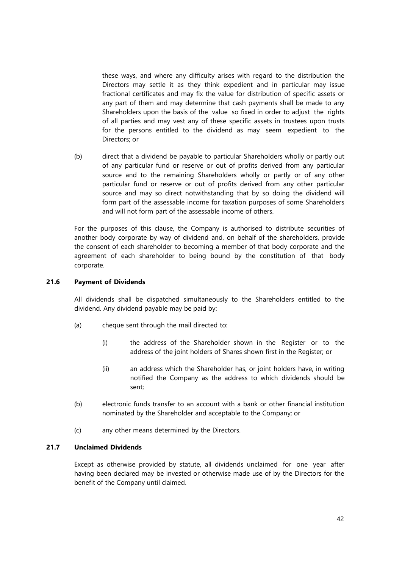these ways, and where any difficulty arises with regard to the distribution the Directors may settle it as they think expedient and in particular may issue fractional certificates and may fix the value for distribution of specific assets or any part of them and may determine that cash payments shall be made to any Shareholders upon the basis of the value so fixed in order to adjust the rights of all parties and may vest any of these specific assets in trustees upon trusts for the persons entitled to the dividend as may seem expedient to the Directors; or

(b) direct that a dividend be payable to particular Shareholders wholly or partly out of any particular fund or reserve or out of profits derived from any particular source and to the remaining Shareholders wholly or partly or of any other particular fund or reserve or out of profits derived from any other particular source and may so direct notwithstanding that by so doing the dividend will form part of the assessable income for taxation purposes of some Shareholders and will not form part of the assessable income of others.

For the purposes of this clause, the Company is authorised to distribute securities of another body corporate by way of dividend and, on behalf of the shareholders, provide the consent of each shareholder to becoming a member of that body corporate and the agreement of each shareholder to being bound by the constitution of that body corporate.

## **21.6 Payment of Dividends**

All dividends shall be dispatched simultaneously to the Shareholders entitled to the dividend. Any dividend payable may be paid by:

- (a) cheque sent through the mail directed to:
	- (i) the address of the Shareholder shown in the Register or to the address of the joint holders of Shares shown first in the Register; or
	- (ii) an address which the Shareholder has, or joint holders have, in writing notified the Company as the address to which dividends should be sent;
- (b) electronic funds transfer to an account with a bank or other financial institution nominated by the Shareholder and acceptable to the Company; or
- (c) any other means determined by the Directors.

#### **21.7 Unclaimed Dividends**

Except as otherwise provided by statute, all dividends unclaimed for one year after having been declared may be invested or otherwise made use of by the Directors for the benefit of the Company until claimed.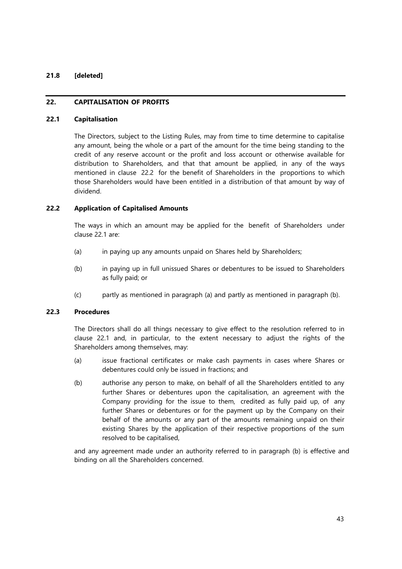## **21.8 [deleted]**

## **22. CAPITALISATION OF PROFITS**

#### **22.1 Capitalisation**

The Directors, subject to the Listing Rules, may from time to time determine to capitalise any amount, being the whole or a part of the amount for the time being standing to the credit of any reserve account or the profit and loss account or otherwise available for distribution to Shareholders, and that that amount be applied, in any of the ways mentioned in clause 22.2 for the benefit of Shareholders in the proportions to which those Shareholders would have been entitled in a distribution of that amount by way of dividend.

## **22.2 Application of Capitalised Amounts**

The ways in which an amount may be applied for the benefit of Shareholders under clause 22.1 are:

- (a) in paying up any amounts unpaid on Shares held by Shareholders;
- (b) in paying up in full unissued Shares or debentures to be issued to Shareholders as fully paid; or
- (c) partly as mentioned in paragraph (a) and partly as mentioned in paragraph (b).

#### **22.3 Procedures**

The Directors shall do all things necessary to give effect to the resolution referred to in clause 22.1 and, in particular, to the extent necessary to adjust the rights of the Shareholders among themselves, may:

- (a) issue fractional certificates or make cash payments in cases where Shares or debentures could only be issued in fractions; and
- (b) authorise any person to make, on behalf of all the Shareholders entitled to any further Shares or debentures upon the capitalisation, an agreement with the Company providing for the issue to them, credited as fully paid up, of any further Shares or debentures or for the payment up by the Company on their behalf of the amounts or any part of the amounts remaining unpaid on their existing Shares by the application of their respective proportions of the sum resolved to be capitalised,

and any agreement made under an authority referred to in paragraph (b) is effective and binding on all the Shareholders concerned.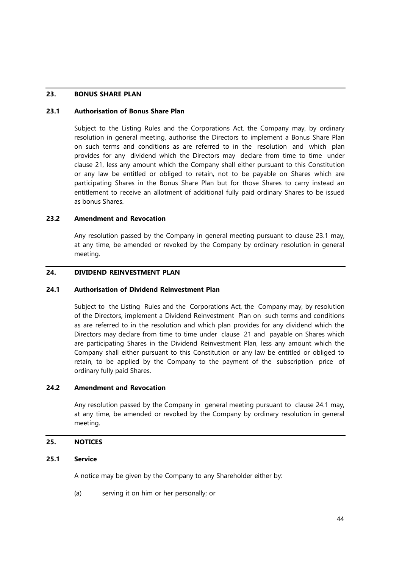# **23. BONUS SHARE PLAN**

## **23.1 Authorisation of Bonus Share Plan**

Subject to the Listing Rules and the Corporations Act, the Company may, by ordinary resolution in general meeting, authorise the Directors to implement a Bonus Share Plan on such terms and conditions as are referred to in the resolution and which plan provides for any dividend which the Directors may declare from time to time under clause 21, less any amount which the Company shall either pursuant to this Constitution or any law be entitled or obliged to retain, not to be payable on Shares which are participating Shares in the Bonus Share Plan but for those Shares to carry instead an entitlement to receive an allotment of additional fully paid ordinary Shares to be issued as bonus Shares.

## <span id="page-51-0"></span>**23.2 Amendment and Revocation**

Any resolution passed by the Company in general meeting pursuant to clause 23.1 may, at any time, be amended or revoked by the Company by ordinary resolution in general meeting.

# **24. DIVIDEND REINVESTMENT PLAN**

## **24.1 Authorisation of Dividend Reinvestment Plan**

Subject to the Listing Rules and the Corporations Act, the Company may, by resolution of the Directors, implement a Dividend Reinvestment Plan on such terms and conditions as are referred to in the resolution and which plan provides for any dividend which the Directors may declare from time to time under clause 21 and payable on Shares which are participating Shares in the Dividend Reinvestment Plan, less any amount which the Company shall either pursuant to this Constitution or any law be entitled or obliged to retain, to be applied by the Company to the payment of the subscription price of ordinary fully paid Shares.

## **24.2 Amendment and Revocation**

Any resolution passed by the Company in general meeting pursuant to clause 24.1 may, at any time, be amended or revoked by the Company by ordinary resolution in general meeting.

## **25. NOTICES**

## **25.1 Service**

A notice may be given by the Company to any Shareholder either by:

(a) serving it on him or her personally; or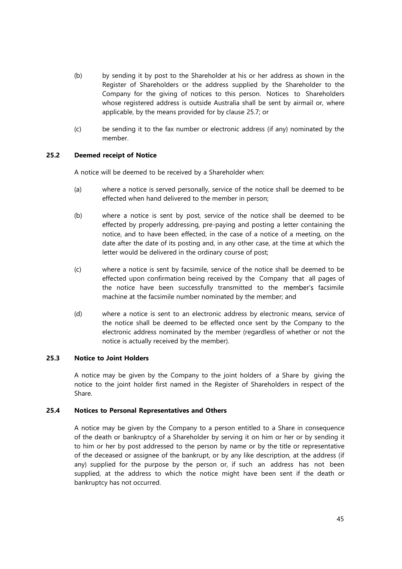- (b) by sending it by post to the Shareholder at his or her address as shown in the Register of Shareholders or the address supplied by the Shareholder to the Company for the giving of notices to this person. Notices to Shareholders whose registered address is outside Australia shall be sent by airmail or, where applicable, by the means provided for by clause 25.7; or
- (c) be sending it to the fax number or electronic address (if any) nominated by the member.

# **25.2 Deemed receipt of Notice**

A notice will be deemed to be received by a Shareholder when:

- (a) where a notice is served personally, service of the notice shall be deemed to be effected when hand delivered to the member in person;
- (b) where a notice is sent by post, service of the notice shall be deemed to be effected by properly addressing, pre-paying and posting a letter containing the notice, and to have been effected, in the case of a notice of a meeting, on the date after the date of its posting and, in any other case, at the time at which the letter would be delivered in the ordinary course of post;
- (c) where a notice is sent by facsimile, service of the notice shall be deemed to be effected upon confirmation being received by the Company that all pages of the notice have been successfully transmitted to the member's facsimile machine at the facsimile number nominated by the member; and
- (d) where a notice is sent to an electronic address by electronic means, service of the notice shall be deemed to be effected once sent by the Company to the electronic address nominated by the member (regardless of whether or not the notice is actually received by the member).

## **25.3 Notice to Joint Holders**

A notice may be given by the Company to the joint holders of a Share by giving the notice to the joint holder first named in the Register of Shareholders in respect of the Share.

## **25.4 Notices to Personal Representatives and Others**

A notice may be given by the Company to a person entitled to a Share in consequence of the death or bankruptcy of a Shareholder by serving it on him or her or by sending it to him or her by post addressed to the person by name or by the title or representative of the deceased or assignee of the bankrupt, or by any like description, at the address (if any) supplied for the purpose by the person or, if such an address has not been supplied, at the address to which the notice might have been sent if the death or bankruptcy has not occurred.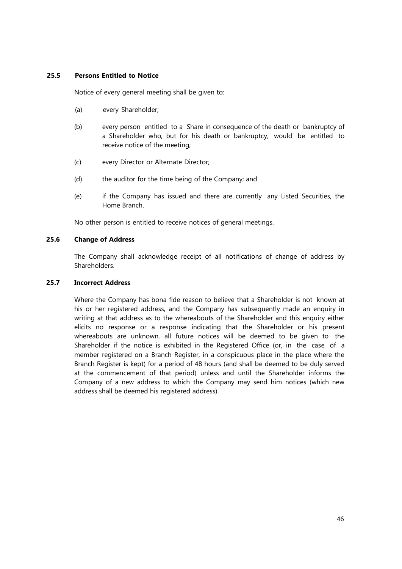## **25.5 Persons Entitled to Notice**

Notice of every general meeting shall be given to:

- (a) every Shareholder;
- (b) every person entitled to a Share in consequence of the death or bankruptcy of a Shareholder who, but for his death or bankruptcy, would be entitled to receive notice of the meeting;
- (c) every Director or Alternate Director;
- (d) the auditor for the time being of the Company; and
- (e) if the Company has issued and there are currently any Listed Securities, the Home Branch.

No other person is entitled to receive notices of general meetings.

## **25.6 Change of Address**

The Company shall acknowledge receipt of all notifications of change of address by Shareholders.

## **25.7 Incorrect Address**

Where the Company has bona fide reason to believe that a Shareholder is not known at his or her registered address, and the Company has subsequently made an enquiry in writing at that address as to the whereabouts of the Shareholder and this enquiry either elicits no response or a response indicating that the Shareholder or his present whereabouts are unknown, all future notices will be deemed to be given to the Shareholder if the notice is exhibited in the Registered Office (or, in the case of a member registered on a Branch Register, in a conspicuous place in the place where the Branch Register is kept) for a period of 48 hours (and shall be deemed to be duly served at the commencement of that period) unless and until the Shareholder informs the Company of a new address to which the Company may send him notices (which new address shall be deemed his registered address).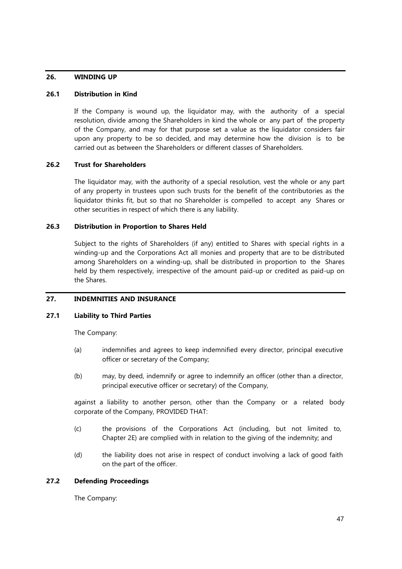## **26. WINDING UP**

## **26.1 Distribution in Kind**

If the Company is wound up, the liquidator may, with the authority of a special resolution, divide among the Shareholders in kind the whole or any part of the property of the Company, and may for that purpose set a value as the liquidator considers fair upon any property to be so decided, and may determine how the division is to be carried out as between the Shareholders or different classes of Shareholders.

## **26.2 Trust for Shareholders**

The liquidator may, with the authority of a special resolution, vest the whole or any part of any property in trustees upon such trusts for the benefit of the contributories as the liquidator thinks fit, but so that no Shareholder is compelled to accept any Shares or other securities in respect of which there is any liability.

### **26.3 Distribution in Proportion to Shares Held**

Subject to the rights of Shareholders (if any) entitled to Shares with special rights in a winding-up and the Corporations Act all monies and property that are to be distributed among Shareholders on a winding-up, shall be distributed in proportion to the Shares held by them respectively, irrespective of the amount paid-up or credited as paid-up on the Shares.

## **27. INDEMNITIES AND INSURANCE**

#### **27.1 Liability to Third Parties**

The Company:

- (a) indemnifies and agrees to keep indemnified every director, principal executive officer or secretary of the Company;
- (b) may, by deed, indemnify or agree to indemnify an officer (other than a director, principal executive officer or secretary) of the Company,

against a liability to another person, other than the Company or a related body corporate of the Company, PROVIDED THAT:

- (c) the provisions of the Corporations Act (including, but not limited to, Chapter 2E) are complied with in relation to the giving of the indemnity; and
- (d) the liability does not arise in respect of conduct involving a lack of good faith on the part of the officer.

# **27.2 Defending Proceedings**

The Company: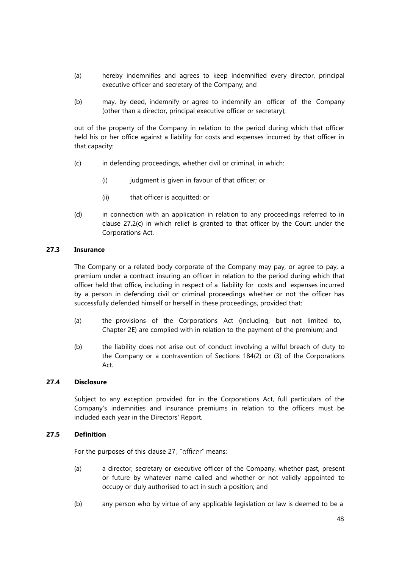- (a) hereby indemnifies and agrees to keep indemnified every director, principal executive officer and secretary of the Company; and
- (b) may, by deed, indemnify or agree to indemnify an officer of the Company (other than a director, principal executive officer or secretary);

out of the property of the Company in relation to the period during which that officer held his or her office against a liability for costs and expenses incurred by that officer in that capacity:

- (c) in defending proceedings, whether civil or criminal, in which:
	- (i) judgment is given in favour of that officer; or
	- (ii) that officer is acquitted; or
- (d) in connection with an application in relation to any proceedings referred to in clause 27.2(c) in which relief is granted to that officer by the Court under the Corporations Act.

#### **27.3 Insurance**

The Company or a related body corporate of the Company may pay, or agree to pay, a premium under a contract insuring an officer in relation to the period during which that officer held that office, including in respect of a liability for costs and expenses incurred by a person in defending civil or criminal proceedings whether or not the officer has successfully defended himself or herself in these proceedings, provided that:

- (a) the provisions of the Corporations Act (including, but not limited to, Chapter 2E) are complied with in relation to the payment of the premium; and
- (b) the liability does not arise out of conduct involving a wilful breach of duty to the Company or a contravention of Sections 184(2) or (3) of the Corporations Act.

## **27.4 Disclosure**

Subject to any exception provided for in the Corporations Act, full particulars of the Company's indemnities and insurance premiums in relation to the officers must be included each year in the Directors' Report.

## **27.5 Definition**

For the purposes of this clause 27, "officer" means:

- (a) a director, secretary or executive officer of the Company, whether past, present or future by whatever name called and whether or not validly appointed to occupy or duly authorised to act in such a position; and
- (b) any person who by virtue of any applicable legislation or law is deemed to be a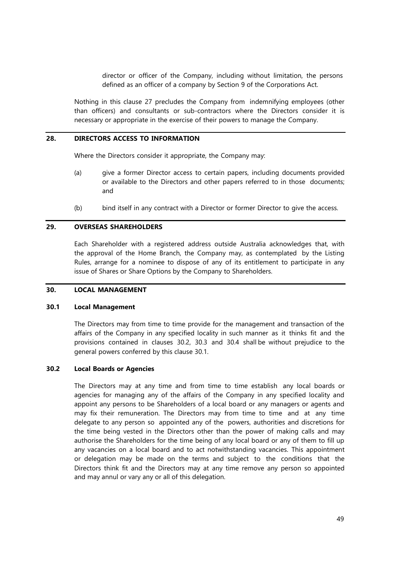director or officer of the Company, including without limitation, the persons defined as an officer of a company by Section 9 of the Corporations Act.

Nothing in this clause 27 precludes the Company from indemnifying employees (other than officers) and consultants or sub-contractors where the Directors consider it is necessary or appropriate in the exercise of their powers to manage the Company.

#### **28. DIRECTORS ACCESS TO INFORMATION**

Where the Directors consider it appropriate, the Company may:

- (a) give a former Director access to certain papers, including documents provided or available to the Directors and other papers referred to in those documents; and
- (b) bind itself in any contract with a Director or former Director to give the access.

# **29. OVERSEAS SHAREHOLDERS**

Each Shareholder with a registered address outside Australia acknowledges that, with the approval of the Home Branch, the Company may, as contemplated by the Listing Rules, arrange for a nominee to dispose of any of its entitlement to participate in any issue of Shares or Share Options by the Company to Shareholders.

#### **30. LOCAL MANAGEMENT**

#### **30.1 Local Management**

The Directors may from time to time provide for the management and transaction of the affairs of the Company in any specified locality in such manner as it thinks fit and the provisions contained in clauses 30.2, 30.3 and 30.4 shall be without prejudice to the general powers conferred by this clause 30.1.

## **30.2 Local Boards or Agencies**

The Directors may at any time and from time to time establish any local boards or agencies for managing any of the affairs of the Company in any specified locality and appoint any persons to be Shareholders of a local board or any managers or agents and may fix their remuneration. The Directors may from time to time and at any time delegate to any person so appointed any of the powers, authorities and discretions for the time being vested in the Directors other than the power of making calls and may authorise the Shareholders for the time being of any local board or any of them to fill up any vacancies on a local board and to act notwithstanding vacancies. This appointment or delegation may be made on the terms and subject to the conditions that the Directors think fit and the Directors may at any time remove any person so appointed and may annul or vary any or all of this delegation.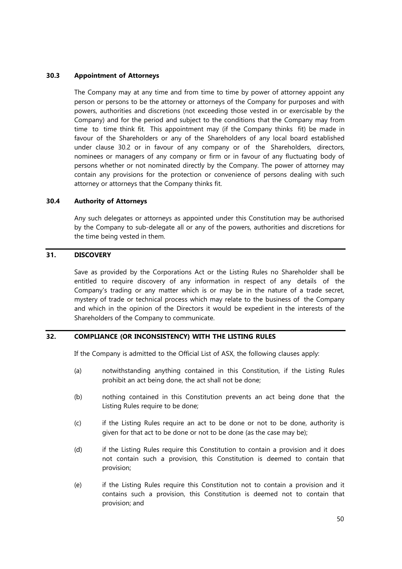## **30.3 Appointment of Attorneys**

The Company may at any time and from time to time by power of attorney appoint any person or persons to be the attorney or attorneys of the Company for purposes and with powers, authorities and discretions (not exceeding those vested in or exercisable by the Company) and for the period and subject to the conditions that the Company may from time to time think fit. This appointment may (if the Company thinks fit) be made in favour of the Shareholders or any of the Shareholders of any local board established under clause 30.2 or in favour of any company or of the Shareholders, directors, nominees or managers of any company or firm or in favour of any fluctuating body of persons whether or not nominated directly by the Company. The power of attorney may contain any provisions for the protection or convenience of persons dealing with such attorney or attorneys that the Company thinks fit.

## **30.4 Authority of Attorneys**

Any such delegates or attorneys as appointed under this Constitution may be authorised by the Company to sub-delegate all or any of the powers, authorities and discretions for the time being vested in them.

# **31. DISCOVERY**

Save as provided by the Corporations Act or the Listing Rules no Shareholder shall be entitled to require discovery of any information in respect of any details of the Company's trading or any matter which is or may be in the nature of a trade secret, mystery of trade or technical process which may relate to the business of the Company and which in the opinion of the Directors it would be expedient in the interests of the Shareholders of the Company to communicate.

# **32. COMPLIANCE (OR INCONSISTENCY) WITH THE LISTING RULES**

If the Company is admitted to the Official List of ASX, the following clauses apply:

- (a) notwithstanding anything contained in this Constitution, if the Listing Rules prohibit an act being done, the act shall not be done;
- (b) nothing contained in this Constitution prevents an act being done that the Listing Rules require to be done;
- (c) if the Listing Rules require an act to be done or not to be done, authority is given for that act to be done or not to be done (as the case may be);
- (d) if the Listing Rules require this Constitution to contain a provision and it does not contain such a provision, this Constitution is deemed to contain that provision;
- (e) if the Listing Rules require this Constitution not to contain a provision and it contains such a provision, this Constitution is deemed not to contain that provision; and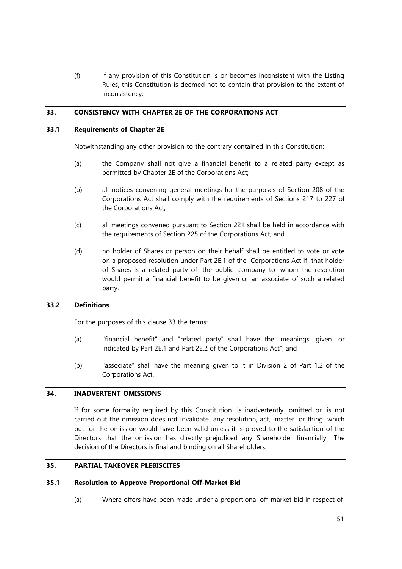(f) if any provision of this Constitution is or becomes inconsistent with the Listing Rules, this Constitution is deemed not to contain that provision to the extent of inconsistency.

## **33. CONSISTENCY WITH CHAPTER 2E OF THE CORPORATIONS ACT**

## **33.1 Requirements of Chapter 2E**

Notwithstanding any other provision to the contrary contained in this Constitution:

- (a) the Company shall not give a financial benefit to a related party except as permitted by Chapter 2E of the Corporations Act;
- (b) all notices convening general meetings for the purposes of Section 208 of the Corporations Act shall comply with the requirements of Sections 217 to 227 of the Corporations Act;
- (c) all meetings convened pursuant to Section 221 shall be held in accordance with the requirements of Section 225 of the Corporations Act; and
- (d) no holder of Shares or person on their behalf shall be entitled to vote or vote on a proposed resolution under Part 2E.1 of the Corporations Act if that holder of Shares is a related party of the public company to whom the resolution would permit a financial benefit to be given or an associate of such a related party.

## **33.2 Definitions**

For the purposes of this clause 33 the terms:

- (a) "financial benefit" and "related party" shall have the meanings given or indicated by Part 2E.1 and Part 2E.2 of the Corporations Act"; and
- (b) "associate" shall have the meaning given to it in Division 2 of Part 1.2 of the Corporations Act.

## **34. INADVERTENT OMISSIONS**

If for some formality required by this Constitution is inadvertently omitted or is not carried out the omission does not invalidate any resolution, act, matter or thing which but for the omission would have been valid unless it is proved to the satisfaction of the Directors that the omission has directly prejudiced any Shareholder financially. The decision of the Directors is final and binding on all Shareholders.

# **35. PARTIAL TAKEOVER PLEBISCITES**

#### **35.1 Resolution to Approve Proportional Off-Market Bid**

(a) Where offers have been made under a proportional off-market bid in respect of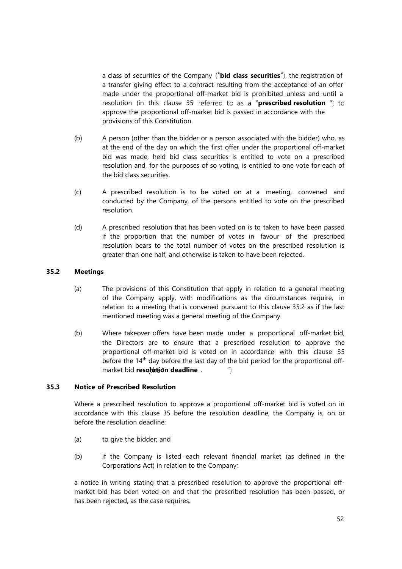a class of securities of the Company ("**bid class securities**"), the registration of a transfer giving effect to a contract resulting from the acceptance of an offer made under the proportional off-market bid is prohibited unless and until a resolution (in this clause 35 referred to as a "prescribed resolution ") to approve the proportional off-market bid is passed in accordance with the provisions of this Constitution.

- (b) A person (other than the bidder or a person associated with the bidder) who, as at the end of the day on which the first offer under the proportional off-market bid was made, held bid class securities is entitled to vote on a prescribed resolution and, for the purposes of so voting, is entitled to one vote for each of the bid class securities.
- (c) A prescribed resolution is to be voted on at a meeting, convened and conducted by the Company, of the persons entitled to vote on the prescribed resolution.
- (d) A prescribed resolution that has been voted on is to taken to have been passed if the proportion that the number of votes in favour of the prescribed resolution bears to the total number of votes on the prescribed resolution is greater than one half, and otherwise is taken to have been rejected.

# **35.2 Meetings**

- (a) The provisions of this Constitution that apply in relation to a general meeting of the Company apply, with modifications as the circumstances require, in relation to a meeting that is convened pursuant to this clause 35.2 as if the last mentioned meeting was a general meeting of the Company.
- (b) Where takeover offers have been made under a proportional off-market bid, the Directors are to ensure that a prescribed resolution to approve the proportional off-market bid is voted on in accordance with this clause 35 before the 14<sup>th</sup> day before the last day of the bid period for the proportional offmarket bid **resolution deadline** .  $^{\prime\prime}$ )

## **35.3 Notice of Prescribed Resolution**

Where a prescribed resolution to approve a proportional off-market bid is voted on in accordance with this clause 35 before the resolution deadline, the Company is, on or before the resolution deadline:

- (a) to give the bidder; and
- (b) if the Company is listed each relevant financial market (as defined in the Corporations Act) in relation to the Company;

a notice in writing stating that a prescribed resolution to approve the proportional offmarket bid has been voted on and that the prescribed resolution has been passed, or has been rejected, as the case requires.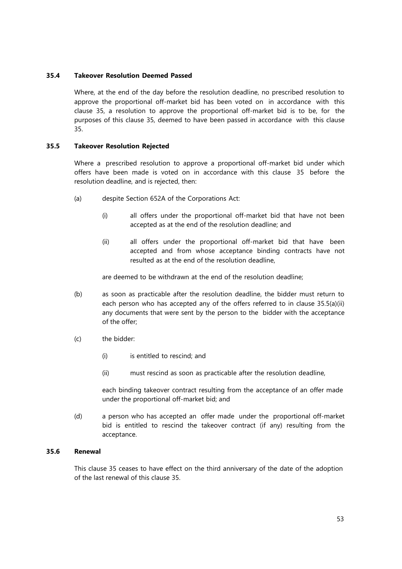# **35.4 Takeover Resolution Deemed Passed**

Where, at the end of the day before the resolution deadline, no prescribed resolution to approve the proportional off-market bid has been voted on in accordance with this clause 35, a resolution to approve the proportional off-market bid is to be, for the purposes of this clause 35, deemed to have been passed in accordance with this clause 35.

# **35.5 Takeover Resolution Rejected**

Where a prescribed resolution to approve a proportional off-market bid under which offers have been made is voted on in accordance with this clause 35 before the resolution deadline, and is rejected, then:

- (a) despite Section 652A of the Corporations Act:
	- (i) all offers under the proportional off-market bid that have not been accepted as at the end of the resolution deadline; and
	- (ii) all offers under the proportional off-market bid that have been accepted and from whose acceptance binding contracts have not resulted as at the end of the resolution deadline,

are deemed to be withdrawn at the end of the resolution deadline;

- (b) as soon as practicable after the resolution deadline, the bidder must return to each person who has accepted any of the offers referred to in clause 35.5(a)(ii) any documents that were sent by the person to the bidder with the acceptance of the offer;
- (c) the bidder:
	- (i) is entitled to rescind; and
	- (ii) must rescind as soon as practicable after the resolution deadline,

each binding takeover contract resulting from the acceptance of an offer made under the proportional off-market bid; and

(d) a person who has accepted an offer made under the proportional off-market bid is entitled to rescind the takeover contract (if any) resulting from the acceptance.

## **35.6 Renewal**

This clause 35 ceases to have effect on the third anniversary of the date of the adoption of the last renewal of this clause 35.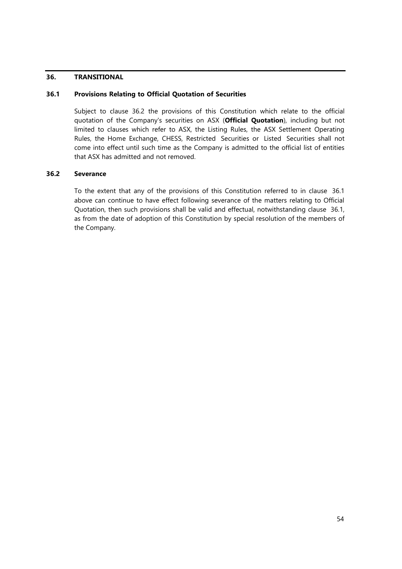## **36. TRANSITIONAL**

# **36.1 Provisions Relating to Official Quotation of Securities**

Subject to clause 36.2 the provisions of this Constitution which relate to the official quotation of the Company's securities on ASX (**Official Quotation**), including but not limited to clauses which refer to ASX, the Listing Rules, the ASX Settlement Operating Rules, the Home Exchange, CHESS, Restricted Securities or Listed Securities shall not come into effect until such time as the Company is admitted to the official list of entities that ASX has admitted and not removed.

## **36.2 Severance**

To the extent that any of the provisions of this Constitution referred to in clause 36.1 above can continue to have effect following severance of the matters relating to Official Quotation, then such provisions shall be valid and effectual, notwithstanding clause 36.1, as from the date of adoption of this Constitution by special resolution of the members of the Company.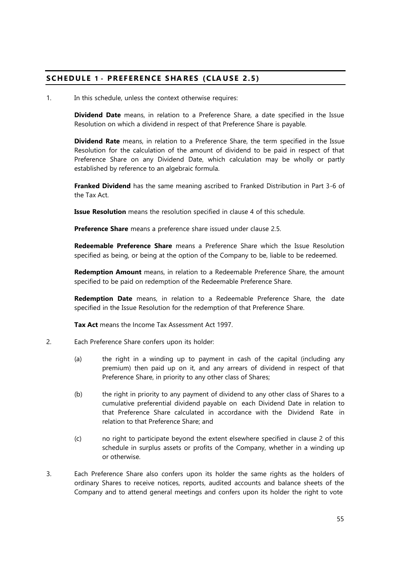# **SCHEDUL E 1 - PREF ERENCE SHA RES (CLA US E 2.5)**

1. In this schedule, unless the context otherwise requires:

**Dividend Date** means, in relation to a Preference Share, a date specified in the Issue Resolution on which a dividend in respect of that Preference Share is payable.

**Dividend Rate** means, in relation to a Preference Share, the term specified in the Issue Resolution for the calculation of the amount of dividend to be paid in respect of that Preference Share on any Dividend Date, which calculation may be wholly or partly established by reference to an algebraic formula.

**Franked Dividend** has the same meaning ascribed to Franked Distribution in Part 3-6 of the Tax Act.

**Issue Resolution** means the resolution specified in clause 4 of this schedule.

**Preference Share** means a preference share issued under clause 2.5.

**Redeemable Preference Share** means a Preference Share which the Issue Resolution specified as being, or being at the option of the Company to be, liable to be redeemed.

**Redemption Amount** means, in relation to a Redeemable Preference Share, the amount specified to be paid on redemption of the Redeemable Preference Share.

**Redemption Date** means, in relation to a Redeemable Preference Share, the date specified in the Issue Resolution for the redemption of that Preference Share.

**Tax Act** means the Income Tax Assessment Act 1997.

- 2. Each Preference Share confers upon its holder:
	- (a) the right in a winding up to payment in cash of the capital (including any premium) then paid up on it, and any arrears of dividend in respect of that Preference Share, in priority to any other class of Shares;
	- (b) the right in priority to any payment of dividend to any other class of Shares to a cumulative preferential dividend payable on each Dividend Date in relation to that Preference Share calculated in accordance with the Dividend Rate in relation to that Preference Share; and
	- (c) no right to participate beyond the extent elsewhere specified in clause 2 of this schedule in surplus assets or profits of the Company, whether in a winding up or otherwise.
- 3. Each Preference Share also confers upon its holder the same rights as the holders of ordinary Shares to receive notices, reports, audited accounts and balance sheets of the Company and to attend general meetings and confers upon its holder the right to vote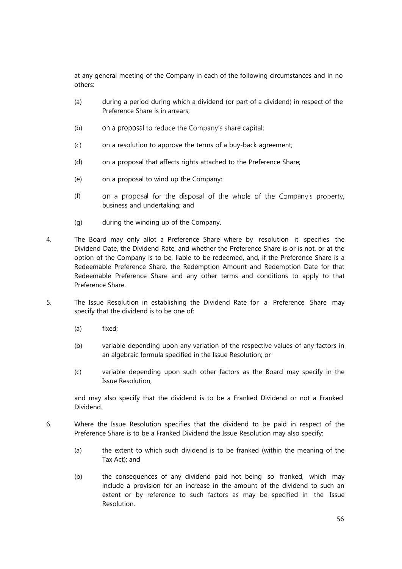at any general meeting of the Company in each of the following circumstances and in no others:

- (a) during a period during which a dividend (or part of a dividend) in respect of the Preference Share is in arrears;
- (b) on a proposal to reduce the Company's share capital;
- (c) on a resolution to approve the terms of a buy-back agreement;
- (d) on a proposal that affects rights attached to the Preference Share;
- (e) on a proposal to wind up the Company;
- (f) on a proposal for the disposal of the whole of the Company's property, business and undertaking; and
- (g) during the winding up of the Company.
- 4. The Board may only allot a Preference Share where by resolution it specifies the Dividend Date, the Dividend Rate, and whether the Preference Share is or is not, or at the option of the Company is to be, liable to be redeemed, and, if the Preference Share is a Redeemable Preference Share, the Redemption Amount and Redemption Date for that Redeemable Preference Share and any other terms and conditions to apply to that Preference Share.
- 5. The Issue Resolution in establishing the Dividend Rate for a Preference Share may specify that the dividend is to be one of:
	- (a) fixed;
	- (b) variable depending upon any variation of the respective values of any factors in an algebraic formula specified in the Issue Resolution; or
	- (c) variable depending upon such other factors as the Board may specify in the Issue Resolution,

and may also specify that the dividend is to be a Franked Dividend or not a Franked Dividend.

- 6. Where the Issue Resolution specifies that the dividend to be paid in respect of the Preference Share is to be a Franked Dividend the Issue Resolution may also specify:
	- (a) the extent to which such dividend is to be franked (within the meaning of the Tax Act); and
	- (b) the consequences of any dividend paid not being so franked, which may include a provision for an increase in the amount of the dividend to such an extent or by reference to such factors as may be specified in the Issue Resolution.